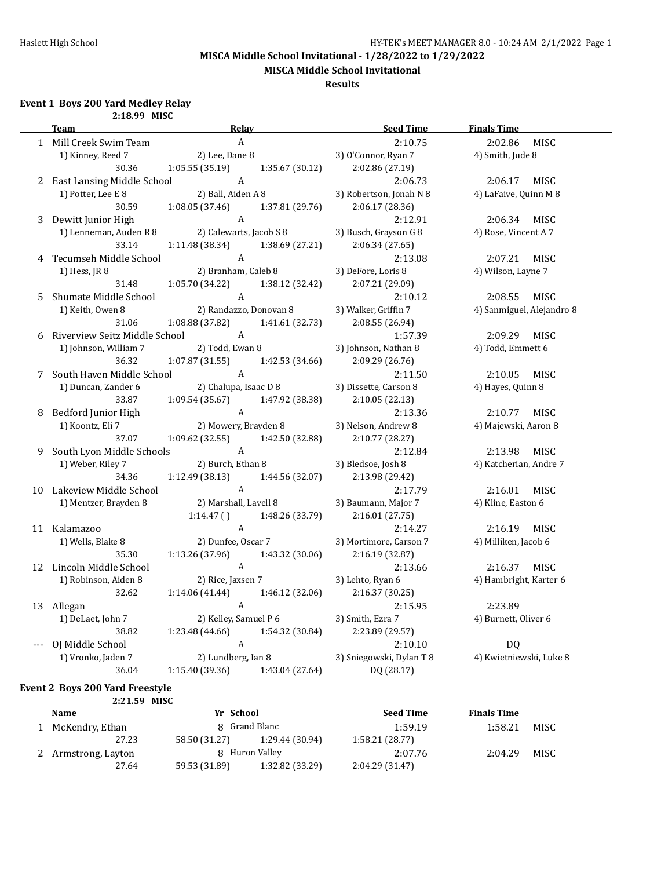**MISCA Middle School Invitational**

#### **Results**

#### **Event 1 Boys 200 Yard Medley Relay**

|   | 2:18.99 MISC                  |                         |                 |                          |                           |
|---|-------------------------------|-------------------------|-----------------|--------------------------|---------------------------|
|   | <b>Team</b>                   | Relay                   |                 | <b>Seed Time</b>         | <b>Finals Time</b>        |
|   | 1 Mill Creek Swim Team        | $\boldsymbol{A}$        |                 | 2:10.75                  | 2:02.86<br><b>MISC</b>    |
|   | 1) Kinney, Reed 7             | 2) Lee, Dane 8          |                 | 3) O'Connor, Ryan 7      | 4) Smith, Jude 8          |
|   | 30.36                         | 1:05.55(35.19)          | 1:35.67 (30.12) | 2:02.86 (27.19)          |                           |
| 2 | East Lansing Middle School    | A                       |                 | 2:06.73                  | 2:06.17<br>MISC           |
|   | 1) Potter, Lee E 8            | 2) Ball, Aiden A 8      |                 | 3) Robertson, Jonah N 8  | 4) LaFaive, Quinn M 8     |
|   | 30.59                         | 1:08.05 (37.46)         | 1:37.81 (29.76) | 2:06.17 (28.36)          |                           |
| 3 | Dewitt Junior High            | A                       |                 | 2:12.91                  | 2:06.34<br>MISC           |
|   | 1) Lenneman, Auden R 8        | 2) Calewarts, Jacob S 8 |                 | 3) Busch, Grayson G 8    | 4) Rose, Vincent A 7      |
|   | 33.14                         | 1:11.48 (38.34)         | 1:38.69 (27.21) | 2:06.34 (27.65)          |                           |
| 4 | Tecumseh Middle School        | A                       |                 | 2:13.08                  | 2:07.21<br>MISC           |
|   | 1) Hess, JR 8                 | 2) Branham, Caleb 8     |                 | 3) DeFore, Loris 8       | 4) Wilson, Layne 7        |
|   | 31.48                         | 1:05.70 (34.22)         | 1:38.12 (32.42) | 2:07.21 (29.09)          |                           |
| 5 | Shumate Middle School         | $\mathbf{A}$            |                 | 2:10.12                  | 2:08.55<br>MISC           |
|   | 1) Keith, Owen 8              | 2) Randazzo, Donovan 8  |                 | 3) Walker, Griffin 7     | 4) Sanmiguel, Alejandro 8 |
|   | 31.06                         | 1:08.88 (37.82)         | 1:41.61 (32.73) | 2:08.55 (26.94)          |                           |
| 6 | Riverview Seitz Middle School | A                       |                 | 1:57.39                  | 2:09.29<br>MISC           |
|   | 1) Johnson, William 7         | 2) Todd, Ewan 8         |                 | 3) Johnson, Nathan 8     | 4) Todd, Emmett 6         |
|   | 36.32                         | 1:07.87(31.55)          | 1:42.53 (34.66) | 2:09.29 (26.76)          |                           |
| 7 | South Haven Middle School     | A                       |                 | 2:11.50                  | 2:10.05<br>MISC           |
|   | 1) Duncan, Zander 6           | 2) Chalupa, Isaac D 8   |                 | 3) Dissette, Carson 8    | 4) Hayes, Quinn 8         |
|   | 33.87                         | 1:09.54(35.67)          | 1:47.92 (38.38) | 2:10.05 (22.13)          |                           |
| 8 | Bedford Junior High           | A                       |                 | 2:13.36                  | 2:10.77<br>MISC           |
|   | 1) Koontz, Eli 7              | 2) Mowery, Brayden 8    |                 | 3) Nelson, Andrew 8      | 4) Majewski, Aaron 8      |
|   | 37.07                         | 1:09.62(32.55)          | 1:42.50 (32.88) | 2:10.77 (28.27)          |                           |
| 9 | South Lyon Middle Schools     | $\mathbf{A}$            |                 | 2:12.84                  | MISC<br>2:13.98           |
|   | 1) Weber, Riley 7             | 2) Burch, Ethan 8       |                 | 3) Bledsoe, Josh 8       | 4) Katcherian, Andre 7    |
|   | 34.36                         | 1:12.49 (38.13)         | 1:44.56 (32.07) | 2:13.98 (29.42)          |                           |
|   | 10 Lakeview Middle School     | $\mathbf{A}$            |                 | 2:17.79                  | 2:16.01<br>MISC           |
|   | 1) Mentzer, Brayden 8         | 2) Marshall, Lavell 8   |                 | 3) Baumann, Major 7      | 4) Kline, Easton 6        |
|   |                               | 1:14.47()               | 1:48.26 (33.79) | 2:16.01 (27.75)          |                           |
|   | 11 Kalamazoo                  | $\mathbf{A}$            |                 | 2:14.27                  | 2:16.19<br>MISC           |
|   | 1) Wells, Blake 8             | 2) Dunfee, Oscar 7      |                 | 3) Mortimore, Carson 7   | 4) Milliken, Jacob 6      |
|   | 35.30                         | 1:13.26(37.96)          | 1:43.32 (30.06) | 2:16.19 (32.87)          |                           |
|   | 12 Lincoln Middle School      | A                       |                 | 2:13.66                  | 2:16.37<br>MISC           |
|   | 1) Robinson, Aiden 8          | 2) Rice, Jaxsen 7       |                 | 3) Lehto, Ryan 6         | 4) Hambright, Karter 6    |
|   | 32.62                         | 1:14.06 (41.44)         | 1:46.12 (32.06) | 2:16.37 (30.25)          |                           |
|   | 13 Allegan                    | $\boldsymbol{A}$        |                 | 2:15.95                  | 2:23.89                   |
|   | 1) DeLaet, John 7             | 2) Kelley, Samuel P 6   |                 | 3) Smith, Ezra 7         | 4) Burnett, Oliver 6      |
|   | 38.82                         | 1:23.48(44.66)          | 1:54.32 (30.84) | 2:23.89 (29.57)          |                           |
|   | OJ Middle School              | A                       |                 | 2:10.10                  | DQ                        |
|   | 1) Vronko, Jaden 7            | 2) Lundberg, Ian 8      |                 | 3) Sniegowski, Dylan T 8 | 4) Kwietniewski, Luke 8   |
|   | 36.04                         | 1:15.40 (39.36)         | 1:43.04 (27.64) | DQ (28.17)               |                           |

#### **Event 2 Boys 200 Yard Freestyle 2:21.59 MISC**

| <b>Name</b>         | Yr School     |                 | <b>Seed Time</b> | <b>Finals Time</b> |      |
|---------------------|---------------|-----------------|------------------|--------------------|------|
| McKendry, Ethan     |               | 8 Grand Blanc   | 1:59.19          | 1:58.21            | MISC |
| 27.23               | 58.50 (31.27) | 1:29.44 (30.94) | 1:58.21(28.77)   |                    |      |
| 2 Armstrong, Layton |               | 8 Huron Valley  |                  | 2:04.29            | MISC |
| 27.64               | 59.53 (31.89) | 1:32.82 (33.29) | 2:04.29(31.47)   |                    |      |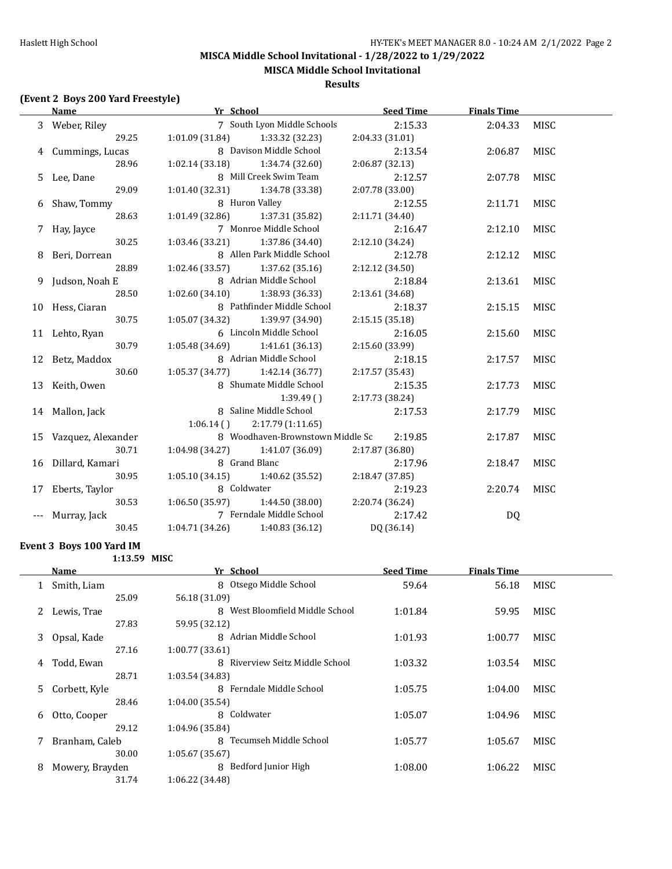**MISCA Middle School Invitational**

#### **Results**

#### **(Event 2 Boys 200 Yard Freestyle)**

|     | Name                  | Yr School                         | <b>Seed Time</b> | <b>Finals Time</b> |             |
|-----|-----------------------|-----------------------------------|------------------|--------------------|-------------|
|     | 3 Weber, Riley        | 7 South Lyon Middle Schools       | 2:15.33          | 2:04.33            | <b>MISC</b> |
|     | 29.25                 | 1:01.09(31.84)<br>1:33.32 (32.23) | 2:04.33(31.01)   |                    |             |
|     | 4 Cummings, Lucas     | 8 Davison Middle School           | 2:13.54          | 2:06.87            | MISC        |
|     | 28.96                 | $1:02.14(33.18)$ $1:34.74(32.60)$ | 2:06.87 (32.13)  |                    |             |
|     | 5 Lee, Dane           | 8 Mill Creek Swim Team            | 2:12.57          | 2:07.78            | <b>MISC</b> |
|     | 29.09                 | $1:01.40(32.31)$ $1:34.78(33.38)$ | 2:07.78 (33.00)  |                    |             |
|     | 6 Shaw, Tommy         | 8 Huron Valley                    | 2:12.55          | 2:11.71            | MISC        |
|     | 28.63                 | $1:01.49(32.86)$ $1:37.31(35.82)$ | 2:11.71 (34.40)  |                    |             |
|     | 7 Hay, Jayce          | 7 Monroe Middle School            | 2:16.47          | 2:12.10            | MISC        |
|     | 30.25                 | $1:03.46(33.21)$ $1:37.86(34.40)$ | 2:12.10 (34.24)  |                    |             |
|     | 8 Beri, Dorrean       | 8 Allen Park Middle School        | 2:12.78          | 2:12.12            | <b>MISC</b> |
|     | 28.89                 | $1:02.46(33.57)$ $1:37.62(35.16)$ | 2:12.12 (34.50)  |                    |             |
|     | 9 Judson, Noah E      | 8 Adrian Middle School            | 2:18.84          | 2:13.61            | MISC        |
|     | 28.50                 | $1:02.60(34.10)$ $1:38.93(36.33)$ | 2:13.61 (34.68)  |                    |             |
|     | 10 Hess, Ciaran       | 8 Pathfinder Middle School        | 2:18.37          | 2:15.15            | <b>MISC</b> |
|     | 30.75                 | 1:05.07(34.32)<br>1:39.97 (34.90) | 2:15.15(35.18)   |                    |             |
|     | 11 Lehto, Ryan        | 6 Lincoln Middle School           | 2:16.05          | 2:15.60            | MISC        |
|     | 30.79                 | $1:05.48(34.69)$ $1:41.61(36.13)$ | 2:15.60 (33.99)  |                    |             |
|     | 12 Betz, Maddox       | 8 Adrian Middle School            | 2:18.15          | 2:17.57            | <b>MISC</b> |
|     | 30.60                 | $1:05.37(34.77)$ $1:42.14(36.77)$ | 2:17.57 (35.43)  |                    |             |
|     | 13 Keith, Owen        | 8 Shumate Middle School           | 2:15.35          | 2:17.73            | <b>MISC</b> |
|     |                       | 1:39.49(                          | 2:17.73 (38.24)  |                    |             |
|     | 14 Mallon, Jack       | 8 Saline Middle School            | 2:17.53          | 2:17.79            | <b>MISC</b> |
|     |                       | 2:17.79 (1:11.65)<br>$1:06.14$ () |                  |                    |             |
|     | 15 Vazquez, Alexander | 8 Woodhaven-Brownstown Middle Sc  | 2:19.85          | 2:17.87            | <b>MISC</b> |
|     | 30.71                 | $1:04.98(34.27)$ $1:41.07(36.09)$ | 2:17.87 (36.80)  |                    |             |
|     | 16 Dillard, Kamari    | 8 Grand Blanc                     | 2:17.96          | 2:18.47            | MISC        |
|     | 30.95                 | $1:05.10(34.15)$ $1:40.62(35.52)$ | 2:18.47 (37.85)  |                    |             |
|     | 17 Eberts, Taylor     | 8 Coldwater                       | 2:19.23          | 2:20.74            | <b>MISC</b> |
|     | 30.53                 | $1:06.50(35.97)$ $1:44.50(38.00)$ | 2:20.74 (36.24)  |                    |             |
| --- | Murray, Jack          | 7 Ferndale Middle School          | 2:17.42          | DQ                 |             |
|     | 30.45                 | $1:04.71(34.26)$ $1:40.83(36.12)$ | DQ (36.14)       |                    |             |

#### **Event 3 Boys 100 Yard IM**

|    | 1:13.59 MISC    |                                    |                  |                    |             |
|----|-----------------|------------------------------------|------------------|--------------------|-------------|
|    | Name            | Yr School                          | <b>Seed Time</b> | <b>Finals Time</b> |             |
|    | Smith, Liam     | Otsego Middle School<br>8          | 59.64            | 56.18              | MISC        |
|    | 25.09           | 56.18 (31.09)                      |                  |                    |             |
|    | Lewis, Trae     | West Bloomfield Middle School<br>8 | 1:01.84          | 59.95              | <b>MISC</b> |
|    | 27.83           | 59.95 (32.12)                      |                  |                    |             |
| 3  | Opsal, Kade     | 8<br>Adrian Middle School          | 1:01.93          | 1:00.77            | <b>MISC</b> |
|    | 27.16           | 1:00.77(33.61)                     |                  |                    |             |
| 4  | Todd, Ewan      | 8 Riverview Seitz Middle School    | 1:03.32          | 1:03.54            | MISC        |
|    | 28.71           | 1:03.54(34.83)                     |                  |                    |             |
| 5. | Corbett, Kyle   | 8 Ferndale Middle School           | 1:05.75          | 1:04.00            | MISC        |
|    | 28.46           | 1:04.00(35.54)                     |                  |                    |             |
| 6  | Otto, Cooper    | 8 Coldwater                        | 1:05.07          | 1:04.96            | MISC        |
|    | 29.12           | 1:04.96 (35.84)                    |                  |                    |             |
| 7  | Branham, Caleb  | Tecumseh Middle School<br>8        | 1:05.77          | 1:05.67            | <b>MISC</b> |
|    | 30.00           | 1:05.67(35.67)                     |                  |                    |             |
| 8  | Mowery, Brayden | Bedford Junior High<br>8           | 1:08.00          | 1:06.22            | <b>MISC</b> |
|    | 31.74           | 1:06.22(34.48)                     |                  |                    |             |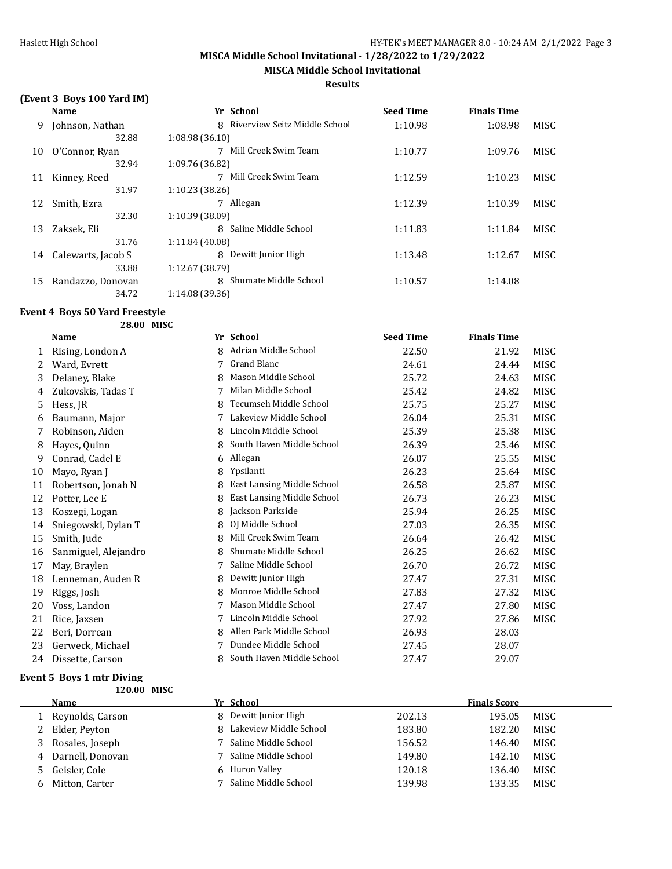**MISCA Middle School Invitational**

#### **Results**

# **(Event 3 Boys 100 Yard IM)**

|    | Name               | Yr School                       | <b>Seed Time</b> | <b>Finals Time</b> |      |
|----|--------------------|---------------------------------|------------------|--------------------|------|
| 9  | Johnson, Nathan    | 8 Riverview Seitz Middle School | 1:10.98          | 1:08.98            | MISC |
|    | 32.88              | 1:08.98(36.10)                  |                  |                    |      |
| 10 | O'Connor, Ryan     | Mill Creek Swim Team            | 1:10.77          | 1:09.76            | MISC |
|    | 32.94              | 1:09.76 (36.82)                 |                  |                    |      |
| 11 | Kinney, Reed       | Mill Creek Swim Team            | 1:12.59          | 1:10.23            | MISC |
|    | 31.97              | 1:10.23(38.26)                  |                  |                    |      |
| 12 | Smith, Ezra        | 7 Allegan                       | 1:12.39          | 1:10.39            | MISC |
|    | 32.30              | 1:10.39 (38.09)                 |                  |                    |      |
| 13 | Zaksek, Eli        | 8 Saline Middle School          | 1:11.83          | 1:11.84            | MISC |
|    | 31.76              | 1:11.84 (40.08)                 |                  |                    |      |
| 14 | Calewarts, Jacob S | 8<br>Dewitt Junior High         | 1:13.48          | 1:12.67            | MISC |
|    | 33.88              | 1:12.67 (38.79)                 |                  |                    |      |
| 15 | Randazzo, Donovan  | Shumate Middle School<br>8      | 1:10.57          | 1:14.08            |      |
|    | 34.72              | 1:14.08 (39.36)                 |                  |                    |      |

# **Event 4 Boys 50 Yard Freestyle**

**28.00 MISC**

|    | Name                 |   | Yr School                         | <b>Seed Time</b> | <b>Finals Time</b> |             |
|----|----------------------|---|-----------------------------------|------------------|--------------------|-------------|
| 1  | Rising, London A     | 8 | Adrian Middle School              | 22.50            | 21.92              | <b>MISC</b> |
| 2  | Ward, Evrett         | 7 | <b>Grand Blanc</b>                | 24.61            | 24.44              | <b>MISC</b> |
| 3  | Delaney, Blake       | 8 | Mason Middle School               | 25.72            | 24.63              | MISC        |
| 4  | Zukovskis, Tadas T   |   | Milan Middle School               | 25.42            | 24.82              | MISC        |
| 5  | Hess, JR             | 8 | Tecumseh Middle School            | 25.75            | 25.27              | MISC        |
| 6  | Baumann, Major       |   | Lakeview Middle School            | 26.04            | 25.31              | MISC        |
|    | Robinson, Aiden      | 8 | Lincoln Middle School             | 25.39            | 25.38              | MISC        |
| 8  | Hayes, Quinn         | 8 | South Haven Middle School         | 26.39            | 25.46              | MISC        |
| 9  | Conrad, Cadel E      | 6 | Allegan                           | 26.07            | 25.55              | MISC        |
| 10 | Mayo, Ryan J         | 8 | Ypsilanti                         | 26.23            | 25.64              | MISC        |
| 11 | Robertson, Jonah N   | 8 | <b>East Lansing Middle School</b> | 26.58            | 25.87              | MISC        |
| 12 | Potter, Lee E        | 8 | East Lansing Middle School        | 26.73            | 26.23              | MISC        |
| 13 | Koszegi, Logan       | 8 | Jackson Parkside                  | 25.94            | 26.25              | MISC        |
| 14 | Sniegowski, Dylan T  | 8 | OJ Middle School                  | 27.03            | 26.35              | MISC        |
| 15 | Smith, Jude          | 8 | Mill Creek Swim Team              | 26.64            | 26.42              | MISC        |
| 16 | Sanmiguel, Alejandro | 8 | Shumate Middle School             | 26.25            | 26.62              | MISC        |
| 17 | May, Braylen         |   | Saline Middle School              | 26.70            | 26.72              | MISC        |
| 18 | Lenneman, Auden R    | 8 | Dewitt Junior High                | 27.47            | 27.31              | MISC        |
| 19 | Riggs, Josh          | 8 | Monroe Middle School              | 27.83            | 27.32              | MISC        |
| 20 | Voss, Landon         | 7 | Mason Middle School               | 27.47            | 27.80              | MISC        |
| 21 | Rice, Jaxsen         | 7 | Lincoln Middle School             | 27.92            | 27.86              | MISC        |
| 22 | Beri, Dorrean        | 8 | Allen Park Middle School          | 26.93            | 28.03              |             |
| 23 | Gerweck, Michael     | 7 | Dundee Middle School              | 27.45            | 28.07              |             |
| 24 | Dissette, Carson     | 8 | South Haven Middle School         | 27.47            | 29.07              |             |
|    |                      |   |                                   |                  |                    |             |

#### **Event 5 Boys 1 mtr Diving**

**120.00 MISC**

|   | Name             | Yr School                |        | <b>Finals Score</b> |             |
|---|------------------|--------------------------|--------|---------------------|-------------|
|   | Reynolds, Carson | 8 Dewitt Junior High     | 202.13 | 195.05              | MISC        |
|   | 2 Elder, Peyton  | 8 Lakeview Middle School | 183.80 | 182.20              | MISC        |
|   | Rosales, Joseph  | 7 Saline Middle School   | 156.52 | 146.40              | MISC        |
| 4 | Darnell, Donovan | 7 Saline Middle School   | 149.80 | 142.10              | MISC.       |
|   | Geisler, Cole    | 6 Huron Valley           | 120.18 | 136.40              | MISC        |
|   | Mitton, Carter   | Saline Middle School     | 139.98 | 133.35              | <b>MISC</b> |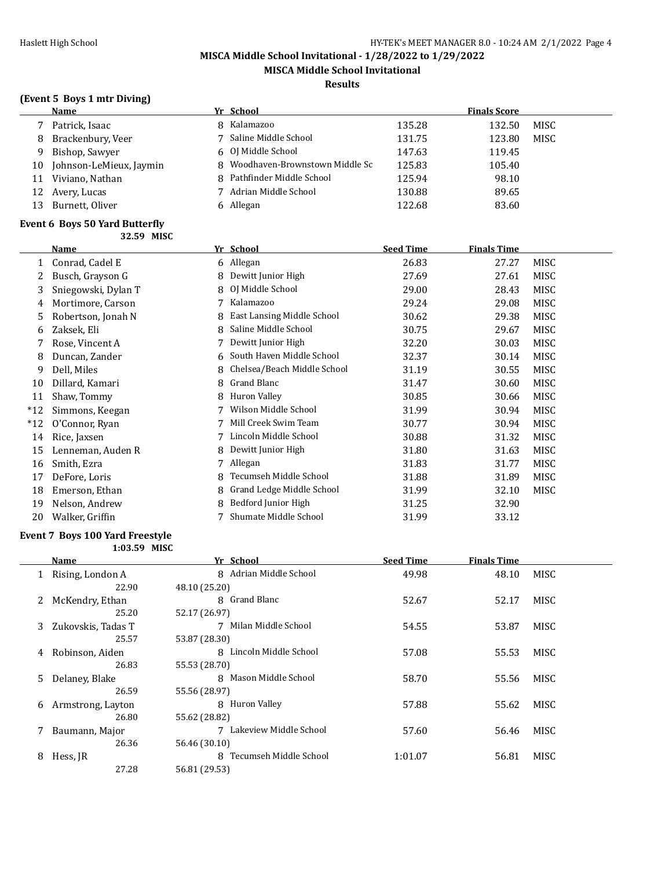**MISCA Middle School Invitational**

#### **Results**

# **(Event 5 Boys 1 mtr Diving)**

|    | <b>Name</b>             | Yr School                        |        | <b>Finals Score</b> |             |
|----|-------------------------|----------------------------------|--------|---------------------|-------------|
|    | Patrick, Isaac          | 8 Kalamazoo                      | 135.28 | 132.50              | <b>MISC</b> |
| 8  | Brackenbury, Veer       | 7 Saline Middle School           | 131.75 | 123.80              | MISC        |
| q  | Bishop, Sawyer          | 6 OJ Middle School               | 147.63 | 119.45              |             |
| 10 | Johnson-LeMieux, Jaymin | 8 Woodhaven-Brownstown Middle Sc | 125.83 | 105.40              |             |
| 11 | Viviano, Nathan         | 8 Pathfinder Middle School       | 125.94 | 98.10               |             |
| 12 | Avery, Lucas            | 7 Adrian Middle School           | 130.88 | 89.65               |             |
| 13 | Burnett, Oliver         | 6 Allegan                        | 122.68 | 83.60               |             |

#### **Event 6 Boys 50 Yard Butterfly 32.59 MISC**

|       | Name                |    | Yr School                   | <b>Seed Time</b> | <b>Finals Time</b> |             |
|-------|---------------------|----|-----------------------------|------------------|--------------------|-------------|
| 1     | Conrad, Cadel E     |    | 6 Allegan                   | 26.83            | 27.27              | MISC        |
|       | Busch, Grayson G    | 8  | Dewitt Junior High          | 27.69            | 27.61              | MISC        |
| 3     | Sniegowski, Dylan T | 8. | OJ Middle School            | 29.00            | 28.43              | MISC        |
| 4     | Mortimore, Carson   |    | Kalamazoo                   | 29.24            | 29.08              | MISC        |
| 5     | Robertson, Jonah N  | 8  | East Lansing Middle School  | 30.62            | 29.38              | <b>MISC</b> |
| 6     | Zaksek, Eli         | 8  | Saline Middle School        | 30.75            | 29.67              | MISC        |
|       | Rose, Vincent A     |    | Dewitt Junior High          | 32.20            | 30.03              | MISC        |
| 8     | Duncan, Zander      | 6. | South Haven Middle School   | 32.37            | 30.14              | MISC        |
| 9     | Dell, Miles         | 8  | Chelsea/Beach Middle School | 31.19            | 30.55              | MISC        |
| 10    | Dillard, Kamari     | 8  | Grand Blanc                 | 31.47            | 30.60              | MISC        |
| 11    | Shaw, Tommy         | 8  | Huron Valley                | 30.85            | 30.66              | MISC        |
| $*12$ | Simmons, Keegan     |    | Wilson Middle School        | 31.99            | 30.94              | MISC        |
| $*12$ | O'Connor, Ryan      |    | Mill Creek Swim Team        | 30.77            | 30.94              | MISC        |
| 14    | Rice, Jaxsen        |    | Lincoln Middle School       | 30.88            | 31.32              | MISC        |
| 15    | Lenneman, Auden R   | 8  | Dewitt Junior High          | 31.80            | 31.63              | MISC        |
| 16    | Smith, Ezra         |    | Allegan                     | 31.83            | 31.77              | MISC        |
| 17    | DeFore, Loris       | 8  | Tecumseh Middle School      | 31.88            | 31.89              | MISC        |
| 18    | Emerson, Ethan      |    | Grand Ledge Middle School   | 31.99            | 32.10              | MISC        |
| 19    | Nelson, Andrew      | 8  | Bedford Junior High         | 31.25            | 32.90              |             |
| 20    | Walker, Griffin     |    | Shumate Middle School       | 31.99            | 33.12              |             |

#### **Event 7 Boys 100 Yard Freestyle**

**1:03.59 MISC**

|    | Name               | Yr School                           | <b>Seed Time</b> | <b>Finals Time</b> |             |
|----|--------------------|-------------------------------------|------------------|--------------------|-------------|
|    | Rising, London A   | Adrian Middle School<br>8           | 49.98            | 48.10              | MISC        |
|    | 22.90              | 48.10 (25.20)                       |                  |                    |             |
| 2  | McKendry, Ethan    | 8 Grand Blanc                       | 52.67            | 52.17              | <b>MISC</b> |
|    | 25.20              | 52.17 (26.97)                       |                  |                    |             |
| 3. | Zukovskis, Tadas T | Milan Middle School<br>7            | 54.55            | 53.87              | <b>MISC</b> |
|    | 25.57              | 53.87 (28.30)                       |                  |                    |             |
| 4  | Robinson, Aiden    | 8 Lincoln Middle School             | 57.08            | 55.53              | MISC        |
|    | 26.83              | 55.53 (28.70)                       |                  |                    |             |
| 5. | Delaney, Blake     | Mason Middle School<br>$\mathsf{R}$ | 58.70            | 55.56              | MISC        |
|    | 26.59              | 55.56 (28.97)                       |                  |                    |             |
| 6  | Armstrong, Layton  | 8 Huron Valley                      | 57.88            | 55.62              | <b>MISC</b> |
|    | 26.80              | 55.62 (28.82)                       |                  |                    |             |
|    | Baumann, Major     | 7 Lakeview Middle School            | 57.60            | 56.46              | MISC        |
|    | 26.36              | 56.46 (30.10)                       |                  |                    |             |
| 8  | Hess, JR           | Tecumseh Middle School<br>8         | 1:01.07          | 56.81              | MISC        |
|    | 27.28              | 56.81 (29.53)                       |                  |                    |             |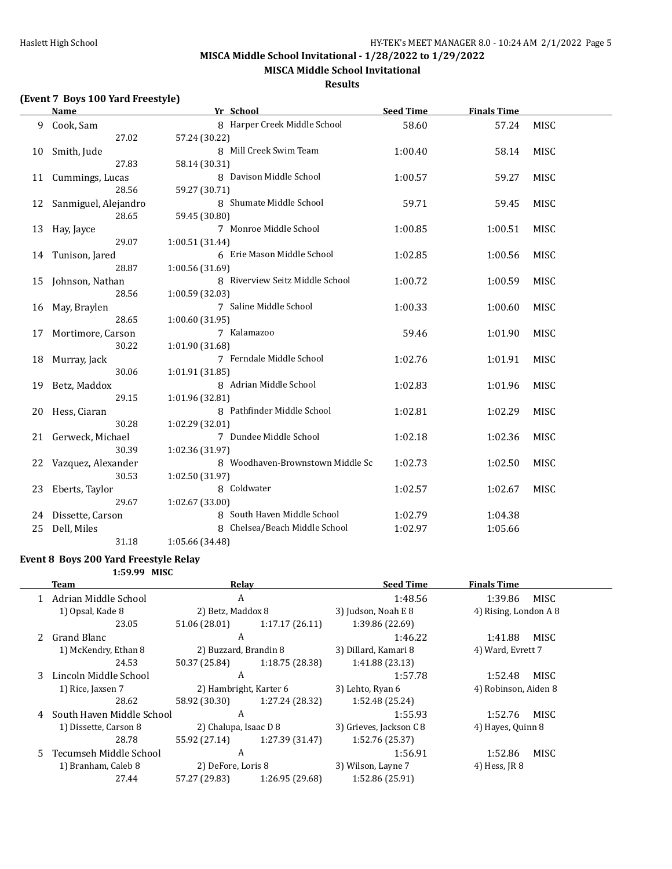**MISCA Middle School Invitational**

#### **Results**

# **(Event 7 Boys 100 Yard Freestyle)**

|    | <b>Name</b>                 | Yr School                                           | <b>Seed Time</b> | <b>Finals Time</b> |             |
|----|-----------------------------|-----------------------------------------------------|------------------|--------------------|-------------|
| 9  | Cook, Sam                   | 8 Harper Creek Middle School                        | 58.60            | 57.24              | MISC        |
|    | 27.02                       | 57.24 (30.22)                                       |                  |                    |             |
| 10 | Smith, Jude                 | 8 Mill Creek Swim Team                              | 1:00.40          | 58.14              | MISC        |
|    | 27.83                       | 58.14 (30.31)                                       |                  |                    |             |
| 11 | Cummings, Lucas             | 8 Davison Middle School                             | 1:00.57          | 59.27              | <b>MISC</b> |
|    | 28.56                       | 59.27 (30.71)                                       |                  |                    |             |
| 12 | Sanmiguel, Alejandro        | 8 Shumate Middle School                             | 59.71            | 59.45              | <b>MISC</b> |
|    | 28.65                       | 59.45 (30.80)                                       |                  |                    |             |
| 13 | Hay, Jayce                  | 7 Monroe Middle School                              | 1:00.85          | 1:00.51            | MISC        |
|    | 29.07                       | 1:00.51 (31.44)                                     |                  |                    |             |
| 14 | Tunison, Jared              | 6 Erie Mason Middle School                          | 1:02.85          | 1:00.56            | MISC        |
|    | 28.87                       | 1:00.56 (31.69)                                     |                  |                    |             |
| 15 | Johnson, Nathan             | 8 Riverview Seitz Middle School                     | 1:00.72          | 1:00.59            | MISC        |
|    | 28.56                       | 1:00.59 (32.03)                                     |                  |                    |             |
| 16 | May, Braylen                | 7 Saline Middle School                              | 1:00.33          | 1:00.60            | MISC        |
|    | 28.65                       | 1:00.60 (31.95)                                     |                  |                    |             |
| 17 | Mortimore, Carson           | 7 Kalamazoo                                         | 59.46            | 1:01.90            | MISC        |
|    | 30.22                       | 1:01.90 (31.68)                                     |                  |                    |             |
| 18 | Murray, Jack                | 7 Ferndale Middle School                            | 1:02.76          | 1:01.91            | MISC        |
|    | 30.06                       | 1:01.91 (31.85)                                     |                  |                    |             |
| 19 | Betz, Maddox                | 8 Adrian Middle School                              | 1:02.83          | 1:01.96            | MISC        |
|    | 29.15                       | 1:01.96 (32.81)                                     |                  |                    |             |
| 20 | Hess, Ciaran                | 8 Pathfinder Middle School                          | 1:02.81          | 1:02.29            | <b>MISC</b> |
|    | 30.28                       | 1:02.29 (32.01)<br>7 Dundee Middle School           |                  |                    |             |
| 21 | Gerweck, Michael<br>30.39   |                                                     | 1:02.18          | 1:02.36            | MISC        |
|    |                             | 1:02.36 (31.97)<br>8 Woodhaven-Brownstown Middle Sc |                  |                    |             |
| 22 | Vazquez, Alexander<br>30.53 | 1:02.50 (31.97)                                     | 1:02.73          | 1:02.50            | MISC        |
| 23 | Eberts, Taylor              | 8 Coldwater                                         | 1:02.57          | 1:02.67            | <b>MISC</b> |
|    | 29.67                       | 1:02.67 (33.00)                                     |                  |                    |             |
| 24 | Dissette, Carson            | 8 South Haven Middle School                         | 1:02.79          | 1:04.38            |             |
| 25 | Dell, Miles                 | 8 Chelsea/Beach Middle School                       | 1:02.97          | 1:05.66            |             |
|    | 31.18                       | 1:05.66 (34.48)                                     |                  |                    |             |
|    |                             |                                                     |                  |                    |             |

**Event 8 Boys 200 Yard Freestyle Relay**

**1:59.99 MISC**

|    | Team                      | Relay                  |                 | <b>Seed Time</b>        | <b>Finals Time</b>    |  |
|----|---------------------------|------------------------|-----------------|-------------------------|-----------------------|--|
|    | Adrian Middle School      | A                      |                 | 1:48.56                 | 1:39.86<br>MISC       |  |
|    | 1) Opsal, Kade 8          | 2) Betz, Maddox 8      |                 | 3) Judson, Noah E 8     | 4) Rising, London A 8 |  |
|    | 23.05                     | 51.06 (28.01)          | 1:17.17(26.11)  | 1:39.86 (22.69)         |                       |  |
|    | Grand Blanc               | A                      |                 | 1:46.22                 | MISC<br>1:41.88       |  |
|    | 1) McKendry, Ethan 8      | 2) Buzzard, Brandin 8  |                 | 3) Dillard, Kamari 8    | 4) Ward, Evrett 7     |  |
|    | 24.53                     | 50.37 (25.84)          | 1:18.75(28.38)  | 1:41.88 (23.13)         |                       |  |
| 3  | Lincoln Middle School     | A                      |                 | 1:57.78                 | 1:52.48<br>MISC       |  |
|    | 1) Rice, Jaxsen 7         | 2) Hambright, Karter 6 |                 | 3) Lehto, Ryan 6        | 4) Robinson, Aiden 8  |  |
|    | 28.62                     | 58.92 (30.30)          | 1:27.24 (28.32) | 1:52.48 (25.24)         |                       |  |
| 4  | South Haven Middle School | A                      |                 | 1:55.93                 | 1:52.76<br>MISC       |  |
|    | 1) Dissette, Carson 8     | 2) Chalupa, Isaac D 8  |                 | 3) Grieves, Jackson C 8 | 4) Hayes, Quinn 8     |  |
|    | 28.78                     | 55.92 (27.14)          | 1:27.39 (31.47) | 1:52.76 (25.37)         |                       |  |
| 5. | Tecumseh Middle School    | A                      |                 | 1:56.91                 | 1:52.86<br>MISC       |  |
|    | 1) Branham, Caleb 8       | 2) DeFore, Loris 8     |                 | 3) Wilson, Layne 7      | 4) Hess, JR 8         |  |
|    | 27.44                     | 57.27 (29.83)          | 1:26.95 (29.68) | 1:52.86 (25.91)         |                       |  |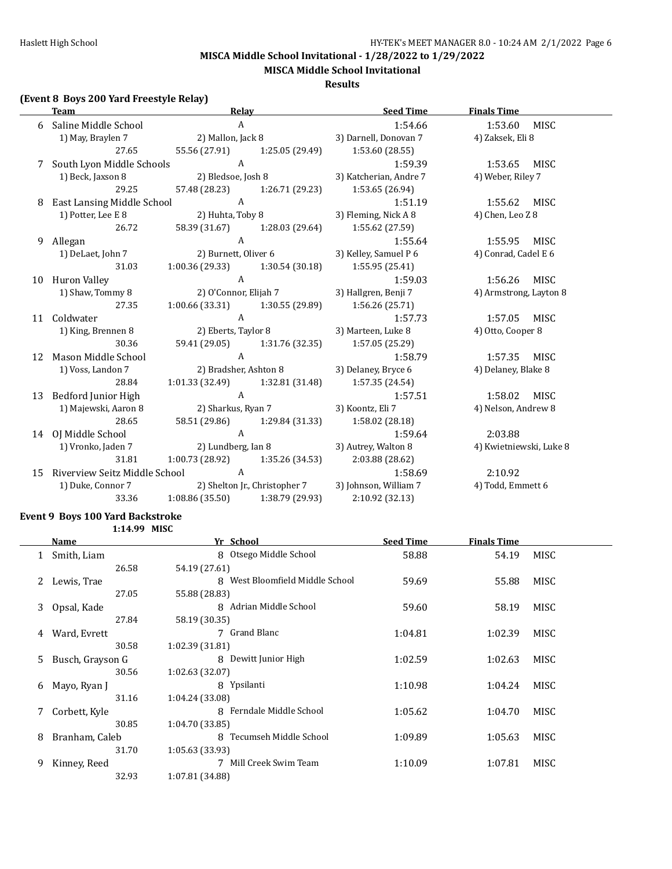**MISCA Middle School Invitational**

#### **Results**

# **(Event 8 Boys 200 Yard Freestyle Relay)**

|   | <b>Team</b>                        | Relay                                              | <b>Seed Time</b>                                              | <b>Finals Time</b>      |
|---|------------------------------------|----------------------------------------------------|---------------------------------------------------------------|-------------------------|
|   | Saline Middle School               | $\overline{A}$                                     | 1:54.66                                                       | 1:53.60<br><b>MISC</b>  |
|   | 1) May, Braylen 7                  | 2) Mallon, Jack 8                                  | 3) Darnell, Donovan 7                                         | 4) Zaksek, Eli 8        |
|   | 27.65                              |                                                    | 55.56 (27.91) 1:25.05 (29.49) 1:53.60 (28.55)                 |                         |
| 7 | South Lyon Middle Schools          | $\overline{A}$                                     | 1:59.39                                                       | 1:53.65 MISC            |
|   |                                    |                                                    | 1) Beck, Jaxson 8 (2) Bledsoe, Josh 8 (3) Katcherian, Andre 7 | 4) Weber, Riley 7       |
|   | 29.25                              |                                                    | 57.48 (28.23) 1:26.71 (29.23) 1:53.65 (26.94)                 |                         |
|   | 8 East Lansing Middle School A     |                                                    | 1:51.19                                                       | 1:55.62 MISC            |
|   | 1) Potter, Lee E 8                 | 2) Huhta, Toby 8                                   | 3) Fleming, Nick A 8                                          | 4) Chen, Leo Z 8        |
|   | 26.72                              | 58.39 (31.67) 1:28.03 (29.64)                      | 1:55.62 (27.59)                                               |                         |
| 9 | Allegan                            | $\mathsf{A}$                                       | 1:55.64                                                       | 1:55.95 MISC            |
|   | 1) DeLaet, John 7                  |                                                    | 2) Burnett, Oliver 6 3) Kelley, Samuel P 6                    | 4) Conrad, Cadel E 6    |
|   | 31.03                              | $1:00.36(29.33)$ $1:30.54(30.18)$ $1:55.95(25.41)$ |                                                               |                         |
|   | 10 Huron Valley                    | A                                                  | 1:59.03                                                       | 1:56.26 MISC            |
|   | 1) Shaw, Tommy 8                   |                                                    | 2) O'Connor, Elijah 7 3) Hallgren, Benji 7                    | 4) Armstrong, Layton 8  |
|   | 27.35                              | $1:00.66(33.31)$ $1:30.55(29.89)$ $1:56.26(25.71)$ |                                                               |                         |
|   | 11 Coldwater                       | $\mathbf{A}$                                       | 1:57.73                                                       | 1:57.05 MISC            |
|   | 1) King, Brennen 8                 |                                                    | 2) Eberts, Taylor 8 3) Marteen, Luke 8                        | 4) Otto, Cooper 8       |
|   | 30.36                              |                                                    | 59.41 (29.05) 1:31.76 (32.35) 1:57.05 (25.29)                 |                         |
|   | 12 Mason Middle School             | $\mathbf{A}$                                       | 1:58.79                                                       | 1:57.35 MISC            |
|   | 1) Voss, Landon 7                  | 2) Bradsher, Ashton 8 3) Delaney, Bryce 6          |                                                               | 4) Delaney, Blake 8     |
|   | 28.84                              | 1:01.33 (32.49) 1:32.81 (31.48) 1:57.35 (24.54)    |                                                               |                         |
|   | 13 Bedford Junior High             | $\mathbf{A}$                                       | 1:57.51                                                       | 1:58.02 MISC            |
|   | 1) Majewski, Aaron 8               |                                                    | 2) Sharkus, Ryan 7 3) Koontz, Eli 7                           | 4) Nelson, Andrew 8     |
|   | 28.65                              |                                                    | 58.51 (29.86) 1:29.84 (31.33) 1:58.02 (28.18)                 |                         |
|   | 14 OJ Middle School                | A                                                  | 1:59.64                                                       | 2:03.88                 |
|   | 1) Vronko, Jaden 7                 | 2) Lundberg, Ian 8 3) Autrey, Walton 8             |                                                               | 4) Kwietniewski, Luke 8 |
|   | 31.81                              | $1:00.73(28.92)$ $1:35.26(34.53)$ $2:03.88(28.62)$ |                                                               |                         |
|   | 15 Riverview Seitz Middle School A |                                                    | 1:58.69                                                       | 2:10.92                 |
|   | 1) Duke, Connor 7                  | 2) Shelton Jr., Christopher 7                      | 3) Johnson, William 7                                         | 4) Todd, Emmett 6       |
|   | 33.36                              | 1:08.86 (35.50) 1:38.79 (29.93)                    | 2:10.92 (32.13)                                               |                         |

#### **Event 9 Boys 100 Yard Backstroke 1:14.99 MISC**

|    | Name             | Yr School                       | <b>Seed Time</b> | <b>Finals Time</b> |             |
|----|------------------|---------------------------------|------------------|--------------------|-------------|
|    | Smith, Liam      | 8 Otsego Middle School          | 58.88            | 54.19              | MISC        |
|    | 26.58            | 54.19 (27.61)                   |                  |                    |             |
|    | Lewis, Trae      | 8 West Bloomfield Middle School | 59.69            | 55.88              | MISC        |
|    | 27.05            | 55.88 (28.83)                   |                  |                    |             |
| 3  | Opsal, Kade      | 8 Adrian Middle School          | 59.60            | 58.19              | MISC        |
|    | 27.84            | 58.19 (30.35)                   |                  |                    |             |
| 4  | Ward, Evrett     | 7 Grand Blanc                   | 1:04.81          | 1:02.39            | <b>MISC</b> |
|    | 30.58            | 1:02.39 (31.81)                 |                  |                    |             |
| 5. | Busch, Grayson G | Dewitt Junior High<br>8         | 1:02.59          | 1:02.63            | MISC        |
|    | 30.56            | 1:02.63(32.07)                  |                  |                    |             |
| 6  | Mayo, Ryan J     | Ypsilanti<br>8                  | 1:10.98          | 1:04.24            | MISC        |
|    | 31.16            | 1:04.24 (33.08)                 |                  |                    |             |
|    | Corbett, Kyle    | 8 Ferndale Middle School        | 1:05.62          | 1:04.70            | MISC        |
|    | 30.85            | 1:04.70 (33.85)                 |                  |                    |             |
| 8  | Branham, Caleb   | 8 Tecumseh Middle School        | 1:09.89          | 1:05.63            | MISC        |
|    | 31.70            | 1:05.63 (33.93)                 |                  |                    |             |
| 9  | Kinney, Reed     | 7 Mill Creek Swim Team          | 1:10.09          | 1:07.81            | <b>MISC</b> |
|    | 32.93            | 1:07.81 (34.88)                 |                  |                    |             |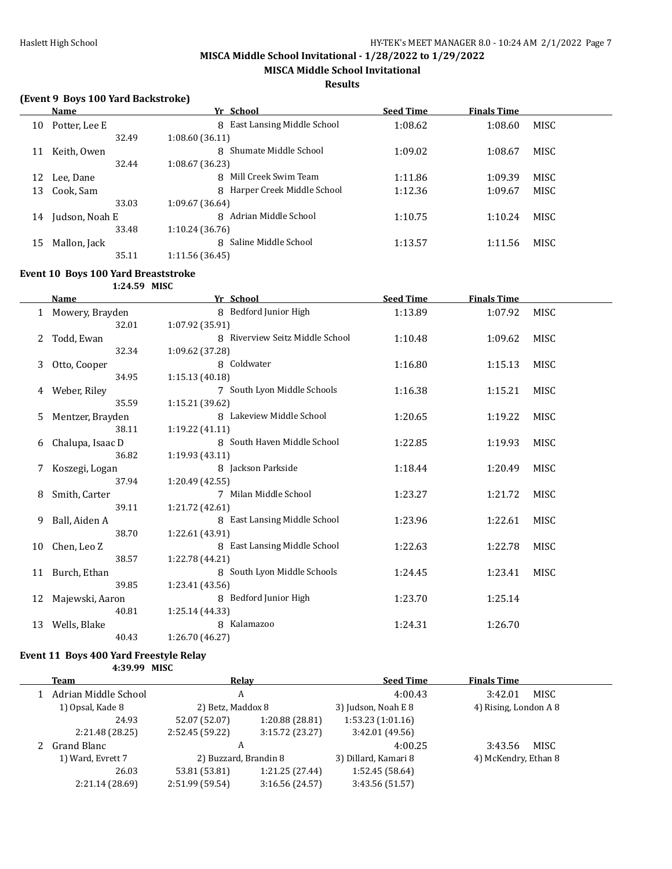**MISCA Middle School Invitational**

#### **Results**

# **(Event 9 Boys 100 Yard Backstroke)**

|    | Name           | Yr School                    | <b>Seed Time</b> | <b>Finals Time</b> |             |
|----|----------------|------------------------------|------------------|--------------------|-------------|
| 10 | Potter, Lee E  | 8 East Lansing Middle School | 1:08.62          | 1:08.60            | MISC        |
|    | 32.49          | 1:08.60(36.11)               |                  |                    |             |
| 11 | Keith, Owen    | 8 Shumate Middle School      | 1:09.02          | 1:08.67            | <b>MISC</b> |
|    | 32.44          | 1:08.67(36.23)               |                  |                    |             |
| 12 | Lee, Dane      | 8 Mill Creek Swim Team       | 1:11.86          | 1:09.39            | <b>MISC</b> |
| 13 | Cook, Sam      | 8 Harper Creek Middle School | 1:12.36          | 1:09.67            | MISC        |
|    | 33.03          | 1:09.67 (36.64)              |                  |                    |             |
| 14 | Judson, Noah E | Adrian Middle School<br>8    | 1:10.75          | 1:10.24            | MISC        |
|    | 33.48          | 1:10.24(36.76)               |                  |                    |             |
| 15 | Mallon, Jack   | 8 Saline Middle School       | 1:13.57          | 1:11.56            | MISC        |
|    | 35.11          | 1:11.56(36.45)               |                  |                    |             |

#### **Event 10 Boys 100 Yard Breaststroke**

**1:24.59 MISC**

|              | <b>Name</b>      | Yr School                       | <b>Seed Time</b> | <b>Finals Time</b> |             |
|--------------|------------------|---------------------------------|------------------|--------------------|-------------|
| $\mathbf{1}$ | Mowery, Brayden  | 8 Bedford Junior High           | 1:13.89          | 1:07.92            | <b>MISC</b> |
|              | 32.01            | 1:07.92 (35.91)                 |                  |                    |             |
| 2            | Todd, Ewan       | 8 Riverview Seitz Middle School | 1:10.48          | 1:09.62            | <b>MISC</b> |
|              | 32.34            | 1:09.62 (37.28)                 |                  |                    |             |
| 3            | Otto, Cooper     | 8 Coldwater                     | 1:16.80          | 1:15.13            | MISC        |
|              | 34.95            | 1:15.13(40.18)                  |                  |                    |             |
| 4            | Weber, Riley     | 7 South Lyon Middle Schools     | 1:16.38          | 1:15.21            | MISC        |
|              | 35.59            | 1:15.21(39.62)                  |                  |                    |             |
| 5.           | Mentzer, Brayden | 8 Lakeview Middle School        | 1:20.65          | 1:19.22            | MISC        |
|              | 38.11            | 1:19.22(41.11)                  |                  |                    |             |
| 6            | Chalupa, Isaac D | 8 South Haven Middle School     | 1:22.85          | 1:19.93            | <b>MISC</b> |
|              | 36.82            | 1:19.93(43.11)                  |                  |                    |             |
| 7            | Koszegi, Logan   | 8 Jackson Parkside              | 1:18.44          | 1:20.49            | MISC        |
|              | 37.94            | 1:20.49(42.55)                  |                  |                    |             |
|              | Smith, Carter    | 7 Milan Middle School           | 1:23.27          | 1:21.72            | <b>MISC</b> |
|              | 39.11            | 1:21.72 (42.61)                 |                  |                    |             |
| 9            | Ball, Aiden A    | 8 East Lansing Middle School    | 1:23.96          | 1:22.61            | <b>MISC</b> |
|              | 38.70            | 1:22.61 (43.91)                 |                  |                    |             |
| 10           | Chen, Leo Z      | 8 East Lansing Middle School    | 1:22.63          | 1:22.78            | <b>MISC</b> |
|              | 38.57            | 1:22.78 (44.21)                 |                  |                    |             |
| 11           | Burch, Ethan     | 8 South Lyon Middle Schools     | 1:24.45          | 1:23.41            | <b>MISC</b> |
|              | 39.85            | 1:23.41 (43.56)                 |                  |                    |             |
| 12           | Majewski, Aaron  | 8 Bedford Junior High           | 1:23.70          | 1:25.14            |             |
|              | 40.81            | 1:25.14 (44.33)                 |                  |                    |             |
| 13           | Wells, Blake     | 8 Kalamazoo                     | 1:24.31          | 1:26.70            |             |
|              | 40.43            | 1:26.70 (46.27)                 |                  |                    |             |

#### **Event 11 Boys 400 Yard Freestyle Relay**

**4:39.99 MISC**

| Team                 | Relay                 |                 | <b>Seed Time</b>     | <b>Finals Time</b>    |
|----------------------|-----------------------|-----------------|----------------------|-----------------------|
| Adrian Middle School | A                     |                 | 4:00.43              | MISC<br>3:42.01       |
| 1) Opsal, Kade 8     | 2) Betz, Maddox 8     |                 | 3) Judson, Noah E 8  | 4) Rising, London A 8 |
| 24.93                | 52.07 (52.07)         | 1:20.88 (28.81) | 1:53.23(1:01.16)     |                       |
| 2:21.48 (28.25)      | 2:52.45 (59.22)       | 3:15.72(23.27)  | 3:42.01 (49.56)      |                       |
| 2 Grand Blanc        | A                     |                 | 4:00.25              | MISC<br>3:43.56       |
| 1) Ward, Evrett 7    | 2) Buzzard, Brandin 8 |                 | 3) Dillard, Kamari 8 | 4) McKendry, Ethan 8  |
| 26.03                | 53.81 (53.81)         | 1:21.25(27.44)  | 1:52.45(58.64)       |                       |
| 2:21.14 (28.69)      | 2:51.99 (59.54)       | 3:16.56 (24.57) | 3:43.56 (51.57)      |                       |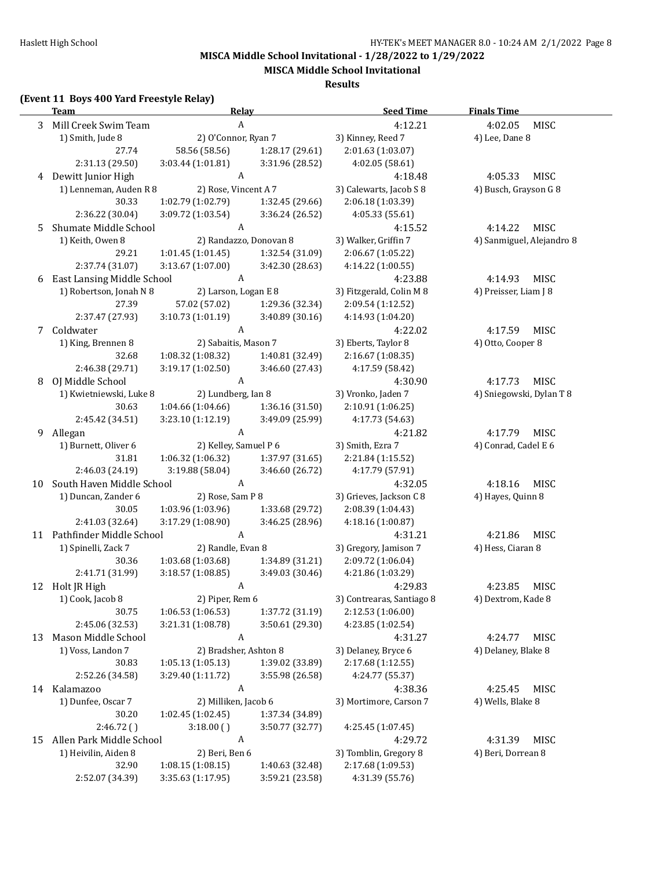**MISCA Middle School Invitational**

**Results**

# **(Event 11 Boys 400 Yard Freestyle Relay)**

|    | $\mu$ , the set of $\mu$ is the function of $\mu$<br><b>Team</b> | <b>Relay</b>           |                 | <b>Seed Time</b>          | <b>Finals Time</b>        |
|----|------------------------------------------------------------------|------------------------|-----------------|---------------------------|---------------------------|
|    | 3 Mill Creek Swim Team                                           | A                      |                 | 4:12.21                   | 4:02.05<br>MISC           |
|    | 1) Smith, Jude 8                                                 | 2) O'Connor, Ryan 7    |                 | 3) Kinney, Reed 7         | 4) Lee, Dane 8            |
|    | 27.74                                                            | 58.56 (58.56)          | 1:28.17 (29.61) | 2:01.63 (1:03.07)         |                           |
|    | 2:31.13 (29.50)                                                  | 3:03.44 (1:01.81)      | 3:31.96 (28.52) | 4:02.05 (58.61)           |                           |
|    | 4 Dewitt Junior High                                             | A                      |                 | 4:18.48                   | 4:05.33<br><b>MISC</b>    |
|    | 1) Lenneman, Auden R 8                                           | 2) Rose, Vincent A 7   |                 | 3) Calewarts, Jacob S 8   | 4) Busch, Grayson G 8     |
|    | 30.33                                                            | 1:02.79 (1:02.79)      | 1:32.45 (29.66) | 2:06.18 (1:03.39)         |                           |
|    | 2:36.22 (30.04)                                                  | 3:09.72 (1:03.54)      | 3:36.24 (26.52) | 4:05.33 (55.61)           |                           |
| 5  | Shumate Middle School                                            | A                      |                 | 4:15.52                   | 4:14.22<br>MISC           |
|    | 1) Keith, Owen 8                                                 | 2) Randazzo, Donovan 8 |                 | 3) Walker, Griffin 7      | 4) Sanmiguel, Alejandro 8 |
|    | 29.21                                                            | 1:01.45(1:01.45)       | 1:32.54 (31.09) | 2:06.67 (1:05.22)         |                           |
|    | 2:37.74 (31.07)                                                  | 3:13.67 (1:07.00)      | 3:42.30 (28.63) | 4:14.22 (1:00.55)         |                           |
|    | 6 East Lansing Middle School                                     | $\boldsymbol{A}$       |                 | 4:23.88                   | 4:14.93<br>MISC           |
|    | 1) Robertson, Jonah N 8                                          | 2) Larson, Logan E 8   |                 | 3) Fitzgerald, Colin M 8  | 4) Preisser, Liam J 8     |
|    | 27.39                                                            | 57.02 (57.02)          | 1:29.36 (32.34) | 2:09.54 (1:12.52)         |                           |
|    | 2:37.47 (27.93)                                                  | 3:10.73(1:01.19)       | 3:40.89 (30.16) | 4:14.93 (1:04.20)         |                           |
| 7  | Coldwater                                                        | $\boldsymbol{A}$       |                 | 4:22.02                   | 4:17.59<br>MISC           |
|    | 1) King, Brennen 8                                               | 2) Sabaitis, Mason 7   |                 | 3) Eberts, Taylor 8       | 4) Otto, Cooper 8         |
|    | 32.68                                                            | 1:08.32 (1:08.32)      | 1:40.81 (32.49) | 2:16.67 (1:08.35)         |                           |
|    | 2:46.38 (29.71)                                                  | 3:19.17 (1:02.50)      | 3:46.60 (27.43) | 4:17.59 (58.42)           |                           |
| 8  | OJ Middle School                                                 | $\boldsymbol{A}$       |                 | 4:30.90                   | 4:17.73<br>MISC           |
|    | 1) Kwietniewski, Luke 8                                          | 2) Lundberg, Ian 8     |                 | 3) Vronko, Jaden 7        | 4) Sniegowski, Dylan T 8  |
|    | 30.63                                                            | 1:04.66(1:04.66)       | 1:36.16 (31.50) | 2:10.91 (1:06.25)         |                           |
|    | 2:45.42 (34.51)                                                  | 3:23.10 (1:12.19)      | 3:49.09 (25.99) | 4:17.73 (54.63)           |                           |
| 9  | Allegan                                                          | A                      |                 | 4:21.82                   | 4:17.79<br>MISC           |
|    | 1) Burnett, Oliver 6                                             | 2) Kelley, Samuel P 6  |                 | 3) Smith, Ezra 7          | 4) Conrad, Cadel E 6      |
|    | 31.81                                                            | 1:06.32 (1:06.32)      | 1:37.97 (31.65) | 2:21.84 (1:15.52)         |                           |
|    | 2:46.03 (24.19)                                                  | 3:19.88 (58.04)        | 3:46.60 (26.72) | 4:17.79 (57.91)           |                           |
| 10 | South Haven Middle School                                        | $\boldsymbol{A}$       |                 | 4:32.05                   | 4:18.16<br>MISC           |
|    | 1) Duncan, Zander 6                                              | 2) Rose, Sam P 8       |                 | 3) Grieves, Jackson C 8   | 4) Hayes, Quinn 8         |
|    | 30.05                                                            | 1:03.96 (1:03.96)      | 1:33.68 (29.72) | 2:08.39 (1:04.43)         |                           |
|    | 2:41.03 (32.64)                                                  | 3:17.29 (1:08.90)      | 3:46.25 (28.96) | 4:18.16 (1:00.87)         |                           |
|    | 11 Pathfinder Middle School                                      | $\boldsymbol{A}$       |                 | 4:31.21                   | 4:21.86<br>MISC           |
|    | 1) Spinelli, Zack 7                                              | 2) Randle, Evan 8      |                 | 3) Gregory, Jamison 7     | 4) Hess, Ciaran 8         |
|    | 30.36                                                            | 1:03.68 (1:03.68)      | 1:34.89 (31.21) | 2:09.72 (1:06.04)         |                           |
|    | 2:41.71 (31.99)                                                  | 3:18.57 (1:08.85)      | 3:49.03 (30.46) | 4:21.86 (1:03.29)         |                           |
|    | 12 Holt JR High                                                  | A                      |                 | 4:29.83                   | 4:23.85<br><b>MISC</b>    |
|    | 1) Cook, Jacob 8                                                 | 2) Piper, Rem 6        |                 | 3) Contrearas, Santiago 8 | 4) Dextrom, Kade 8        |
|    | 30.75                                                            | 1:06.53(1:06.53)       | 1:37.72 (31.19) | 2:12.53 (1:06.00)         |                           |
|    | 2:45.06 (32.53)                                                  | 3:21.31 (1:08.78)      | 3:50.61 (29.30) | 4:23.85 (1:02.54)         |                           |
| 13 | Mason Middle School                                              | A                      |                 | 4:31.27                   | MISC<br>4:24.77           |
|    | 1) Voss, Landon 7                                                | 2) Bradsher, Ashton 8  |                 | 3) Delaney, Bryce 6       | 4) Delaney, Blake 8       |
|    | 30.83                                                            | 1:05.13(1:05.13)       | 1:39.02 (33.89) | 2:17.68 (1:12.55)         |                           |
|    | 2:52.26 (34.58)                                                  | 3:29.40 (1:11.72)      | 3:55.98 (26.58) | 4:24.77 (55.37)           |                           |
|    | 14 Kalamazoo                                                     | $\boldsymbol{A}$       |                 | 4:38.36                   | 4:25.45<br><b>MISC</b>    |
|    | 1) Dunfee, Oscar 7                                               | 2) Milliken, Jacob 6   |                 | 3) Mortimore, Carson 7    | 4) Wells, Blake 8         |
|    | 30.20                                                            | 1:02.45 (1:02.45)      | 1:37.34 (34.89) |                           |                           |
|    | 2:46.72()                                                        | 3:18.00()              | 3:50.77 (32.77) | 4:25.45 (1:07.45)         |                           |
| 15 | Allen Park Middle School                                         | $\boldsymbol{A}$       |                 | 4:29.72                   | MISC<br>4:31.39           |
|    | 1) Heivilin, Aiden 8                                             | 2) Beri, Ben 6         |                 | 3) Tomblin, Gregory 8     | 4) Beri, Dorrean 8        |
|    | 32.90                                                            | 1:08.15(1:08.15)       | 1:40.63 (32.48) | 2:17.68 (1:09.53)         |                           |
|    | 2:52.07 (34.39)                                                  | 3:35.63 (1:17.95)      | 3:59.21 (23.58) | 4:31.39 (55.76)           |                           |
|    |                                                                  |                        |                 |                           |                           |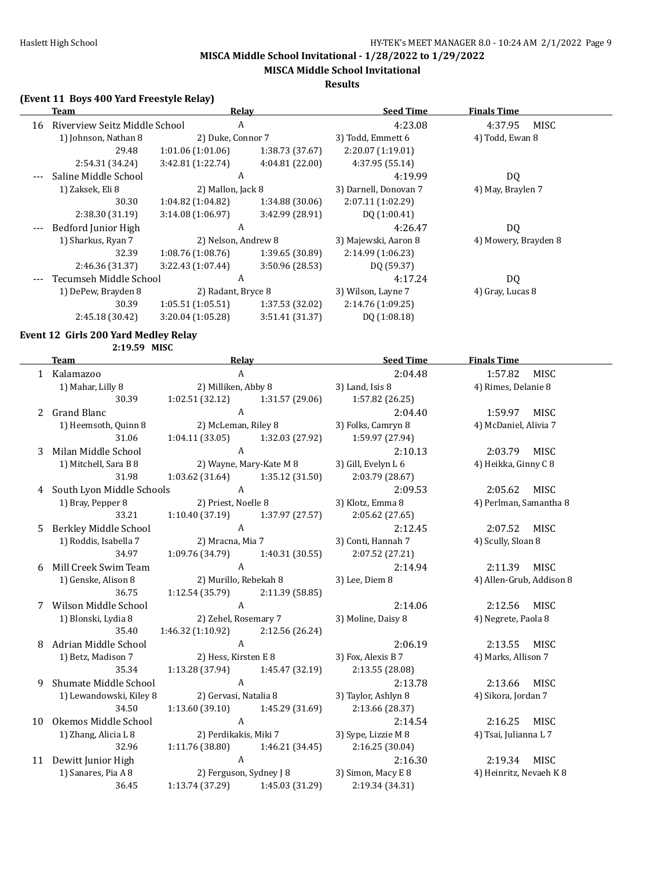**MISCA Middle School Invitational**

#### **Results**

# **(Event 11 Boys 400 Yard Freestyle Relay)**

|    | Team                          | Relav               |                 | <b>Seed Time</b>      | <b>Finals Time</b>   |
|----|-------------------------------|---------------------|-----------------|-----------------------|----------------------|
| 16 | Riverview Seitz Middle School | A                   |                 | 4:23.08               | MISC<br>4:37.95      |
|    | 1) Johnson, Nathan 8          | 2) Duke, Connor 7   |                 | 3) Todd, Emmett 6     | 4) Todd, Ewan 8      |
|    | 29.48                         | 1:01.06(1:01.06)    | 1:38.73(37.67)  | 2:20.07 (1:19.01)     |                      |
|    | 2:54.31 (34.24)               | 3:42.81(1:22.74)    | 4:04.81(22.00)  | 4:37.95 (55.14)       |                      |
|    | Saline Middle School          | A                   |                 | 4:19.99               | DQ                   |
|    | 1) Zaksek, Eli 8              | 2) Mallon, Jack 8   |                 | 3) Darnell, Donovan 7 | 4) May, Braylen 7    |
|    | 30.30                         | $1:04.82$ (1:04.82) | 1:34.88(30.06)  | 2:07.11(1:02.29)      |                      |
|    | 2:38.30 (31.19)               | 3:14.08(1:06.97)    | 3:42.99 (28.91) | DQ (1:00.41)          |                      |
|    | Bedford Junior High           | A                   |                 | 4:26.47               | DQ.                  |
|    | 1) Sharkus, Ryan 7            | 2) Nelson, Andrew 8 |                 | 3) Majewski, Aaron 8  | 4) Mowery, Brayden 8 |
|    | 32.39                         | 1:08.76(1:08.76)    | 1:39.65 (30.89) | 2:14.99 (1:06.23)     |                      |
|    | 2:46.36 (31.37)               | 3:22.43 (1:07.44)   | 3:50.96 (28.53) | DQ (59.37)            |                      |
|    | Tecumseh Middle School        | A                   |                 | 4:17.24               | DQ.                  |
|    | 1) DePew, Brayden 8           | 2) Radant, Bryce 8  |                 | 3) Wilson, Layne 7    | 4) Gray, Lucas 8     |
|    | 30.39                         | 1:05.51(1:05.51)    | 1:37.53 (32.02) | 2:14.76 (1:09.25)     |                      |
|    | 2:45.18 (30.42)               | 3:20.04(1:05.28)    | 3:51.41 (31.37) | DQ (1:08.18)          |                      |
|    |                               |                     |                 |                       |                      |

#### **Event 12 Girls 200 Yard Medley Relay 2:19.59 MISC**

| 2.IY. |  |  |  |
|-------|--|--|--|
|       |  |  |  |

|   | <b>Team</b>                   | Relay                                                                | <b>Seed Time</b>                           | <b>Finals Time</b>       |  |
|---|-------------------------------|----------------------------------------------------------------------|--------------------------------------------|--------------------------|--|
|   | 1 Kalamazoo                   | $\mathsf{A}$                                                         | 2:04.48                                    | 1:57.82 MISC             |  |
|   |                               | 1) Mahar, Lilly 8 2) Milliken, Abby 8                                | 3) Land, Isis 8                            | 4) Rimes, Delanie 8      |  |
|   | 30.39                         | $1:02.51(32.12)$ $1:31.57(29.06)$ $1:57.82(26.25)$                   |                                            |                          |  |
|   | 2 Grand Blanc                 | A<br>2) McLeman, Riley 8                                             | 2:04.40                                    | 1:59.97 MISC             |  |
|   | 1) Heemsoth, Quinn 8          |                                                                      | 3) Folks, Camryn 8                         | 4) McDaniel, Alivia 7    |  |
|   | 31.06                         | $1:04.11(33.05)$ $1:32.03(27.92)$ $1:59.97(27.94)$                   |                                            |                          |  |
|   | 3 Milan Middle School         | $\overline{A}$                                                       | 2:10.13                                    | 2:03.79 MISC             |  |
|   | 1) Mitchell, Sara B 8         |                                                                      |                                            | 4) Heikka, Ginny C 8     |  |
|   | 31.98                         | $1:03.62$ $(31.64)$ $1:35.12$ $(31.50)$                              | 2:03.79 (28.67)                            |                          |  |
|   | 4 South Lyon Middle Schools A |                                                                      | 2:09.53                                    | 2:05.62 MISC             |  |
|   |                               | 1) Bray, Pepper 8 2) Priest, Noelle 8                                | 3) Klotz, Emma 8                           | 4) Perlman, Samantha 8   |  |
|   |                               | 33.21 1:10.40 (37.19) 1:37.97 (27.57) 2:05.62 (27.65)                |                                            |                          |  |
| 5 | Berkley Middle School         | $\overline{A}$                                                       | 2:12.45                                    | 2:07.52 MISC             |  |
|   | 1) Roddis, Isabella 7         | 2) Mracna, Mia 7                                                     | 3) Conti, Hannah 7                         | 4) Scully, Sloan 8       |  |
|   | 34.97                         | $1:09.76(34.79)$ $1:40.31(30.55)$ $2:07.52(27.21)$                   |                                            |                          |  |
|   | 6 Mill Creek Swim Team        | $\overline{A}$                                                       | 2:14.94                                    | 2:11.39 MISC             |  |
|   |                               | 1 Aill Creek Swim Team<br>1) Genske, Alison 8 (2) Murillo, Rebekah 8 | 3) Lee, Diem 8                             | 4) Allen-Grub, Addison 8 |  |
|   | 36.75                         | $1:12.54(35.79)$ $2:11.39(58.85)$                                    |                                            |                          |  |
|   | 7 Wilson Middle School        | A <sub>1</sub>                                                       | 2:14.06                                    | 2:12.56 MISC             |  |
|   | 1) Blonski, Lydia 8           | 2) Zehel, Rosemary 7                                                 | 3) Moline, Daisy 8                         | 4) Negrete, Paola 8      |  |
|   | 35.40                         | $1:46.32(1:10.92)$ $2:12.56(26.24)$                                  |                                            |                          |  |
| 8 | Adrian Middle School          | A                                                                    | 2:06.19                                    | 2:13.55 MISC             |  |
|   |                               | 1) Betz, Madison 7 2) Hess, Kirsten E 8                              | 3) Fox, Alexis B 7                         | 4) Marks, Allison 7      |  |
|   | 35.34                         | $1:13.28(37.94)$ $1:45.47(32.19)$ $2:13.55(28.08)$                   |                                            |                          |  |
| 9 | Shumate Middle School         | $\overline{A}$                                                       | 2:13.78                                    | 2:13.66 MISC             |  |
|   | 1) Lewandowski, Kiley 8       | 2) Gervasi, Natalia 8                                                | 3) Taylor, Ashlyn 8                        | 4) Sikora, Jordan 7      |  |
|   | 34.50                         | $1:13.60(39.10)$ $1:45.29(31.69)$ $2:13.66(28.37)$                   |                                            |                          |  |
|   | 10 Okemos Middle School       | $\overline{A}$                                                       | 2:14.54                                    | 2:16.25 MISC             |  |
|   | 1) Zhang, Alicia L 8          | 2) Perdikakis, Miki 7 3) Sype, Lizzie M 8                            |                                            | 4) Tsai, Julianna L 7    |  |
|   | 32.96                         | $1:11.76(38.80)$ $1:46.21(34.45)$                                    | 2:16.25(30.04)                             |                          |  |
|   | 11 Dewitt Junior High         | $\overline{A}$                                                       | 2:16.30                                    | 2:19.34 MISC             |  |
|   | 1) Sanares, Pia A 8           |                                                                      | 2) Ferguson, Sydney J 8 3) Simon, Macy E 8 | 4) Heinritz, Nevaeh K 8  |  |
|   | 36.45                         | 1:13.74 (37.29) 1:45.03 (31.29) 2:19.34 (34.31)                      |                                            |                          |  |
|   |                               |                                                                      |                                            |                          |  |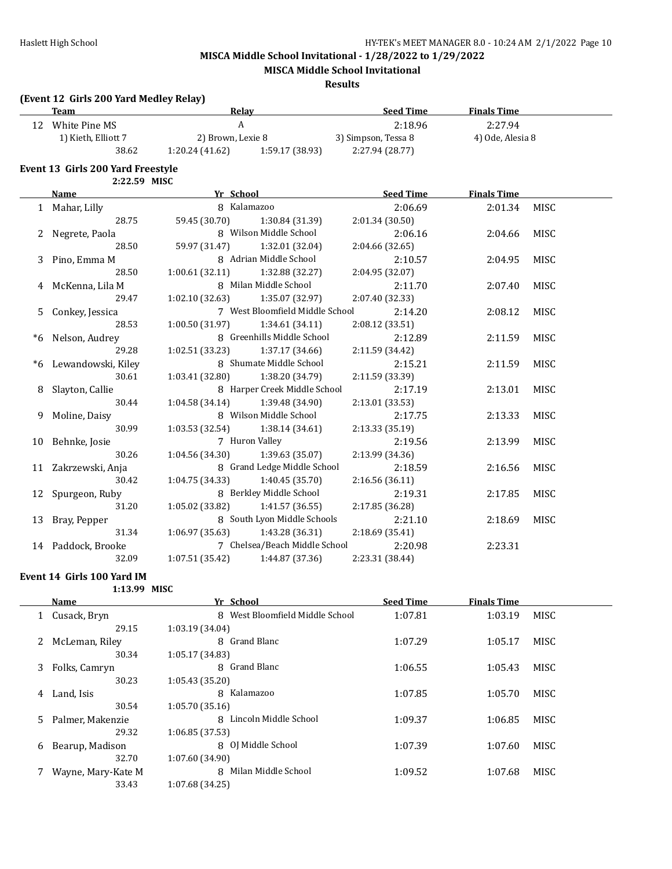**MISCA Middle School Invitational**

#### **Results**

# **(Event 12 Girls 200 Yard Medley Relay)**

|   | <b>Team</b>                              | <b>Relay</b>                      |                                   | <b>Seed Time</b>    | <b>Finals Time</b> |             |
|---|------------------------------------------|-----------------------------------|-----------------------------------|---------------------|--------------------|-------------|
|   | 12 White Pine MS                         | $\mathbf{A}$                      |                                   | 2:18.96             | 2:27.94            |             |
|   | 1) Kieth, Elliott 7                      | 2) Brown, Lexie 8                 |                                   | 3) Simpson, Tessa 8 | 4) Ode, Alesia 8   |             |
|   | 38.62                                    |                                   | $1:20.24(41.62)$ $1:59.17(38.93)$ | 2:27.94 (28.77)     |                    |             |
|   | <b>Event 13 Girls 200 Yard Freestyle</b> |                                   |                                   |                     |                    |             |
|   | 2:22.59 MISC                             |                                   |                                   |                     |                    |             |
|   | Name                                     | <b>The School</b>                 |                                   | <b>Seed Time</b>    | <b>Finals Time</b> |             |
|   | 1 Mahar, Lilly                           | 8 Kalamazoo                       |                                   | 2:06.69             | 2:01.34            | MISC        |
|   | 28.75                                    | 59.45 (30.70)                     | 1:30.84 (31.39)                   | 2:01.34 (30.50)     |                    |             |
|   | 2 Negrete, Paola                         |                                   | 8 Wilson Middle School            | 2:06.16             | 2:04.66            | MISC        |
|   | 28.50                                    | 59.97 (31.47)                     | 1:32.01 (32.04)                   | 2:04.66 (32.65)     |                    |             |
| 3 | Pino, Emma M                             |                                   | 8 Adrian Middle School            | 2:10.57             | 2:04.95            | <b>MISC</b> |
|   | 28.50                                    | 1:00.61(32.11)                    | 1:32.88 (32.27)                   | 2:04.95 (32.07)     |                    |             |
|   | 4 McKenna, Lila M                        |                                   | 8 Milan Middle School             | 2:11.70             | 2:07.40            | <b>MISC</b> |
|   | 29.47                                    | 1:02.10(32.63)                    | 1:35.07 (32.97)                   | 2:07.40 (32.33)     |                    |             |
|   | 5 Conkey, Jessica                        |                                   | 7 West Bloomfield Middle School   | 2:14.20             | 2:08.12            | <b>MISC</b> |
|   | 28.53                                    | 1:00.50(31.97)                    | 1:34.61 (34.11)                   | 2:08.12 (33.51)     |                    |             |
|   | *6 Nelson, Audrey                        |                                   | 8 Greenhills Middle School        | 2:12.89             | 2:11.59            | <b>MISC</b> |
|   | 29.28                                    | 1:02.51(33.23)                    | 1:37.17 (34.66)                   | 2:11.59 (34.42)     |                    |             |
|   | *6 Lewandowski, Kiley                    |                                   | 8 Shumate Middle School           | 2:15.21             | 2:11.59            | <b>MISC</b> |
|   | 30.61                                    | 1:03.41 (32.80)                   | 1:38.20 (34.79)                   | 2:11.59 (33.39)     |                    |             |
|   | 8 Slayton, Callie                        |                                   | 8 Harper Creek Middle School      | 2:17.19             | 2:13.01            | <b>MISC</b> |
|   | 30.44                                    | $1:04.58(34.14)$ $1:39.48(34.90)$ |                                   | 2:13.01 (33.53)     |                    |             |
|   | 9 Moline, Daisy                          |                                   | 8 Wilson Middle School            | 2:17.75             | 2:13.33            | MISC        |
|   | 30.99                                    | 1:03.53(32.54)                    | 1:38.14 (34.61)                   | 2:13.33 (35.19)     |                    |             |
|   | 10 Behnke, Josie                         |                                   | 7 Huron Valley                    | 2:19.56             | 2:13.99            | <b>MISC</b> |
|   | 30.26                                    | 1:04.56 (34.30)                   | 1:39.63 (35.07)                   | 2:13.99 (34.36)     |                    |             |
|   | 11 Zakrzewski, Anja                      |                                   | 8 Grand Ledge Middle School       | 2:18.59             | 2:16.56            | MISC        |
|   | 30.42                                    | 1:04.75(34.33)                    | 1:40.45 (35.70)                   | 2:16.56 (36.11)     |                    |             |
|   | 12 Spurgeon, Ruby                        |                                   | 8 Berkley Middle School           | 2:19.31             | 2:17.85            | <b>MISC</b> |
|   | 31.20                                    | 1:05.02 (33.82)                   | 1:41.57 (36.55)                   | 2:17.85 (36.28)     |                    |             |
|   | 13 Bray, Pepper                          |                                   | 8 South Lyon Middle Schools       | 2:21.10             | 2:18.69            | <b>MISC</b> |
|   | 31.34                                    | 1:06.97(35.63)                    | 1:43.28 (36.31)                   | 2:18.69 (35.41)     |                    |             |
|   | 14 Paddock, Brooke                       |                                   | 7 Chelsea/Beach Middle School     | 2:20.98             | 2:23.31            |             |
|   | 32.09                                    | 1:07.51 (35.42)                   | 1:44.87 (37.36)                   | 2:23.31 (38.44)     |                    |             |

#### **Event 14 Girls 100 Yard IM**

**1:13.99 MISC**

|    | Name               | Yr School                       | <b>Seed Time</b> | <b>Finals Time</b> |             |
|----|--------------------|---------------------------------|------------------|--------------------|-------------|
|    | Cusack, Bryn       | 8 West Bloomfield Middle School | 1:07.81          | 1:03.19            | MISC        |
|    | 29.15              | 1:03.19(34.04)                  |                  |                    |             |
|    | McLeman, Riley     | 8 Grand Blanc                   | 1:07.29          | 1:05.17            | <b>MISC</b> |
|    | 30.34              | 1:05.17(34.83)                  |                  |                    |             |
| 3  | Folks, Camryn      | 8 Grand Blanc                   | 1:06.55          | 1:05.43            | MISC        |
|    | 30.23              | 1:05.43(35.20)                  |                  |                    |             |
| 4  | Land, Isis         | Kalamazoo<br>8                  | 1:07.85          | 1:05.70            | <b>MISC</b> |
|    | 30.54              | 1:05.70(35.16)                  |                  |                    |             |
| 5. | Palmer, Makenzie   | 8 Lincoln Middle School         | 1:09.37          | 1:06.85            | MISC        |
|    | 29.32              | 1:06.85(37.53)                  |                  |                    |             |
| 6  | Bearup, Madison    | 8 OJ Middle School              | 1:07.39          | 1:07.60            | MISC        |
|    | 32.70              | 1:07.60 (34.90)                 |                  |                    |             |
|    | Wayne, Mary-Kate M | Milan Middle School<br>8        | 1:09.52          | 1:07.68            | <b>MISC</b> |
|    | 33.43              | 1:07.68 (34.25)                 |                  |                    |             |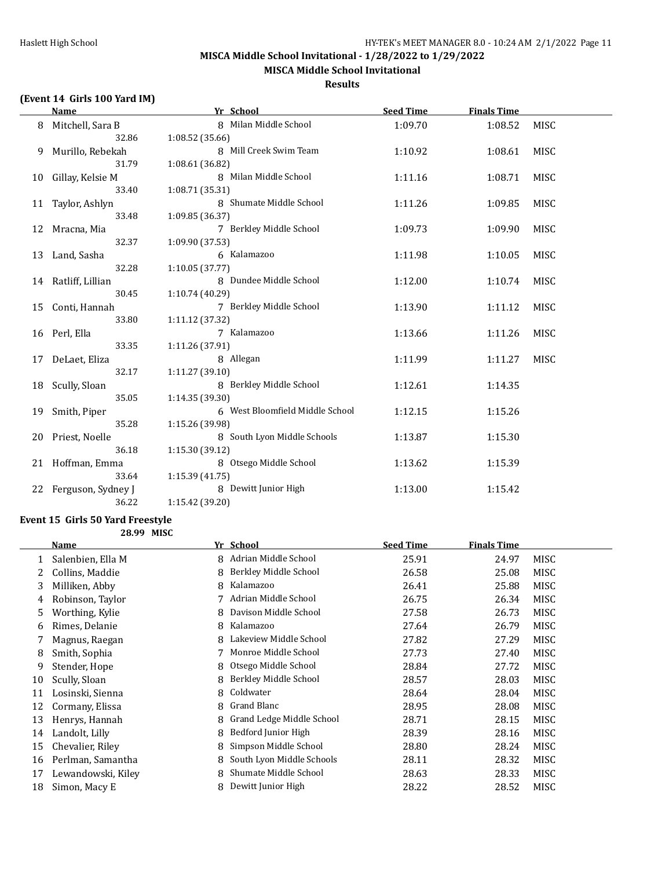**MISCA Middle School Invitational**

#### **Results**

# **(Event 14 Girls 100 Yard IM)**

|    | <b>Name</b>         | Yr School                       | <b>Seed Time</b> | <b>Finals Time</b> |             |
|----|---------------------|---------------------------------|------------------|--------------------|-------------|
|    | Mitchell, Sara B    | 8 Milan Middle School           | 1:09.70          | 1:08.52            | MISC        |
|    | 32.86               | 1:08.52 (35.66)                 |                  |                    |             |
| 9. | Murillo, Rebekah    | 8 Mill Creek Swim Team          | 1:10.92          | 1:08.61            | MISC        |
|    | 31.79               | 1:08.61 (36.82)                 |                  |                    |             |
| 10 | Gillay, Kelsie M    | 8 Milan Middle School           | 1:11.16          | 1:08.71            | MISC        |
|    | 33.40               | 1:08.71 (35.31)                 |                  |                    |             |
| 11 | Taylor, Ashlyn      | 8 Shumate Middle School         | 1:11.26          | 1:09.85            | <b>MISC</b> |
|    | 33.48               | 1:09.85 (36.37)                 |                  |                    |             |
| 12 | Mracna, Mia         | 7 Berkley Middle School         | 1:09.73          | 1:09.90            | MISC        |
|    | 32.37               | 1:09.90 (37.53)                 |                  |                    |             |
| 13 | Land, Sasha         | 6 Kalamazoo                     | 1:11.98          | 1:10.05            | MISC        |
|    | 32.28               | 1:10.05(37.77)                  |                  |                    |             |
|    | 14 Ratliff, Lillian | 8 Dundee Middle School          | 1:12.00          | 1:10.74            | MISC        |
|    | 30.45               | 1:10.74 (40.29)                 |                  |                    |             |
| 15 | Conti, Hannah       | 7 Berkley Middle School         | 1:13.90          | 1:11.12            | MISC        |
|    | 33.80               | 1:11.12 (37.32)                 |                  |                    |             |
|    | 16 Perl, Ella       | 7 Kalamazoo                     | 1:13.66          | 1:11.26            | MISC        |
|    | 33.35               | 1:11.26 (37.91)                 |                  |                    |             |
| 17 | DeLaet, Eliza       | 8 Allegan                       | 1:11.99          | 1:11.27            | MISC        |
|    | 32.17               | 1:11.27 (39.10)                 |                  |                    |             |
| 18 | Scully, Sloan       | 8 Berkley Middle School         | 1:12.61          | 1:14.35            |             |
|    | 35.05               | 1:14.35 (39.30)                 |                  |                    |             |
| 19 | Smith, Piper        | 6 West Bloomfield Middle School | 1:12.15          | 1:15.26            |             |
|    | 35.28               | 1:15.26 (39.98)                 |                  |                    |             |
| 20 | Priest, Noelle      | 8 South Lyon Middle Schools     | 1:13.87          | 1:15.30            |             |
|    | 36.18               | 1:15.30 (39.12)                 |                  |                    |             |
|    | 21 Hoffman, Emma    | 8 Otsego Middle School          | 1:13.62          | 1:15.39            |             |
|    | 33.64               | 1:15.39(41.75)                  |                  |                    |             |
| 22 | Ferguson, Sydney J  | 8 Dewitt Junior High            | 1:13.00          | 1:15.42            |             |
|    | 36.22               | 1:15.42 (39.20)                 |                  |                    |             |

# **Event 15 Girls 50 Yard Freestyle**

**28.99 MISC**

|    | Name               |   | Yr School                 | <b>Seed Time</b> | <b>Finals Time</b> |             |
|----|--------------------|---|---------------------------|------------------|--------------------|-------------|
|    | Salenbien, Ella M  | 8 | Adrian Middle School      | 25.91            | 24.97              | MISC        |
|    | Collins, Maddie    | 8 | Berkley Middle School     | 26.58            | 25.08              | MISC        |
| 3  | Milliken, Abby     | 8 | Kalamazoo                 | 26.41            | 25.88              | MISC        |
| 4  | Robinson, Taylor   |   | Adrian Middle School      | 26.75            | 26.34              | <b>MISC</b> |
| 5  | Worthing, Kylie    | 8 | Davison Middle School     | 27.58            | 26.73              | <b>MISC</b> |
| 6  | Rimes, Delanie     | 8 | Kalamazoo                 | 27.64            | 26.79              | <b>MISC</b> |
|    | Magnus, Raegan     | 8 | Lakeview Middle School    | 27.82            | 27.29              | <b>MISC</b> |
| 8  | Smith, Sophia      |   | Monroe Middle School      | 27.73            | 27.40              | <b>MISC</b> |
| 9  | Stender, Hope      | 8 | Otsego Middle School      | 28.84            | 27.72              | <b>MISC</b> |
| 10 | Scully, Sloan      | 8 | Berkley Middle School     | 28.57            | 28.03              | <b>MISC</b> |
| 11 | Losinski, Sienna   | 8 | Coldwater                 | 28.64            | 28.04              | MISC        |
| 12 | Cormany, Elissa    | 8 | Grand Blanc               | 28.95            | 28.08              | MISC        |
| 13 | Henrys, Hannah     | 8 | Grand Ledge Middle School | 28.71            | 28.15              | MISC        |
| 14 | Landolt, Lilly     | 8 | Bedford Junior High       | 28.39            | 28.16              | <b>MISC</b> |
| 15 | Chevalier, Riley   | 8 | Simpson Middle School     | 28.80            | 28.24              | <b>MISC</b> |
| 16 | Perlman, Samantha  | 8 | South Lyon Middle Schools | 28.11            | 28.32              | <b>MISC</b> |
| 17 | Lewandowski, Kiley | 8 | Shumate Middle School     | 28.63            | 28.33              | MISC        |
| 18 | Simon, Macy E      | 8 | Dewitt Junior High        | 28.22            | 28.52              | <b>MISC</b> |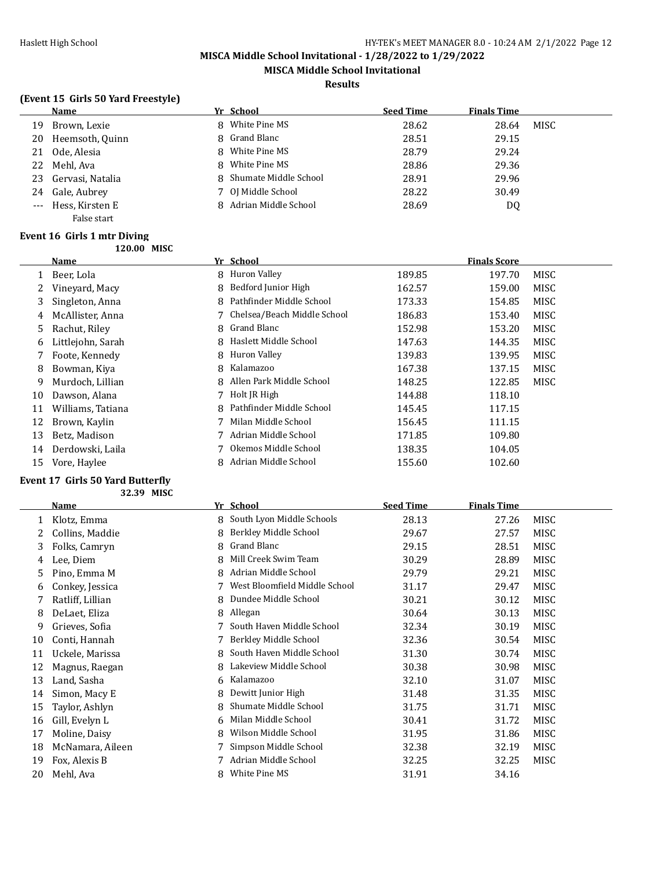**MISCA Middle School Invitational**

#### **Results**

# **(Event 15 Girls 50 Yard Freestyle)**

|    | Name                | Yr School               | <b>Seed Time</b> | <b>Finals Time</b> |      |
|----|---------------------|-------------------------|------------------|--------------------|------|
| 19 | Brown, Lexie        | 8 White Pine MS         | 28.62            | 28.64              | MISC |
| 20 | Heemsoth, Quinn     | 8 Grand Blanc           | 28.51            | 29.15              |      |
| 21 | Ode, Alesia         | 8 White Pine MS         | 28.79            | 29.24              |      |
| 22 | Mehl. Ava           | 8 White Pine MS         | 28.86            | 29.36              |      |
| 23 | Gervasi, Natalia    | 8 Shumate Middle School | 28.91            | 29.96              |      |
| 24 | Gale, Aubrey        | 7 OJ Middle School      | 28.22            | 30.49              |      |
|    | --- Hess, Kirsten E | 8 Adrian Middle School  | 28.69            | DQ                 |      |
|    | False start         |                         |                  |                    |      |

#### **Event 16 Girls 1 mtr Diving 120.00 MISC**

|    | Name              |   | Yr School                     |        | <b>Finals Score</b> |             |
|----|-------------------|---|-------------------------------|--------|---------------------|-------------|
|    | Beer, Lola        |   | 8 Huron Valley                | 189.85 | 197.70              | MISC        |
| 2  | Vinevard, Macy    | 8 | Bedford Junior High           | 162.57 | 159.00              | MISC        |
| 3  | Singleton, Anna   | 8 | Pathfinder Middle School      | 173.33 | 154.85              | <b>MISC</b> |
| 4  | McAllister, Anna  |   | 7 Chelsea/Beach Middle School | 186.83 | 153.40              | MISC        |
| 5  | Rachut, Riley     |   | 8 Grand Blanc                 | 152.98 | 153.20              | MISC        |
| 6  | Littlejohn, Sarah | 8 | Haslett Middle School         | 147.63 | 144.35              | MISC        |
|    | Foote, Kennedy    |   | 8 Huron Valley                | 139.83 | 139.95              | MISC        |
| 8  | Bowman, Kiya      | 8 | Kalamazoo                     | 167.38 | 137.15              | MISC        |
| 9  | Murdoch, Lillian  | 8 | Allen Park Middle School      | 148.25 | 122.85              | MISC        |
| 10 | Dawson, Alana     | 7 | Holt JR High                  | 144.88 | 118.10              |             |
| 11 | Williams, Tatiana | 8 | Pathfinder Middle School      | 145.45 | 117.15              |             |
| 12 | Brown, Kaylin     | 7 | Milan Middle School           | 156.45 | 111.15              |             |
| 13 | Betz, Madison     |   | Adrian Middle School          | 171.85 | 109.80              |             |
| 14 | Derdowski, Laila  |   | Okemos Middle School          | 138.35 | 104.05              |             |
| 15 | Vore, Haylee      |   | Adrian Middle School          | 155.60 | 102.60              |             |

#### **Event 17 Girls 50 Yard Butterfly**

**32.39 MISC**

|    | <b>Name</b>      |   | Yr School                     | <b>Seed Time</b> | <b>Finals Time</b> |             |
|----|------------------|---|-------------------------------|------------------|--------------------|-------------|
| 1  | Klotz, Emma      | 8 | South Lyon Middle Schools     | 28.13            | 27.26              | MISC        |
|    | Collins, Maddie  | 8 | Berkley Middle School         | 29.67            | 27.57              | MISC        |
| 3  | Folks, Camryn    | 8 | Grand Blanc                   | 29.15            | 28.51              | MISC        |
| 4  | Lee, Diem        | 8 | Mill Creek Swim Team          | 30.29            | 28.89              | MISC        |
| 5  | Pino, Emma M     | 8 | Adrian Middle School          | 29.79            | 29.21              | MISC        |
| 6  | Conkey, Jessica  |   | West Bloomfield Middle School | 31.17            | 29.47              | MISC        |
| 7  | Ratliff, Lillian | 8 | Dundee Middle School          | 30.21            | 30.12              | MISC        |
| 8  | DeLaet, Eliza    | 8 | Allegan                       | 30.64            | 30.13              | MISC        |
| 9  | Grieves, Sofia   |   | South Haven Middle School     | 32.34            | 30.19              | MISC        |
| 10 | Conti, Hannah    |   | Berkley Middle School         | 32.36            | 30.54              | MISC        |
| 11 | Uckele, Marissa  |   | South Haven Middle School     | 31.30            | 30.74              | MISC        |
| 12 | Magnus, Raegan   | 8 | Lakeview Middle School        | 30.38            | 30.98              | MISC        |
| 13 | Land, Sasha      | 6 | Kalamazoo                     | 32.10            | 31.07              | <b>MISC</b> |
| 14 | Simon, Macy E    | 8 | Dewitt Junior High            | 31.48            | 31.35              | MISC        |
| 15 | Taylor, Ashlyn   | 8 | Shumate Middle School         | 31.75            | 31.71              | MISC        |
| 16 | Gill, Evelyn L   | 6 | Milan Middle School           | 30.41            | 31.72              | MISC        |
| 17 | Moline, Daisy    | 8 | Wilson Middle School          | 31.95            | 31.86              | MISC        |
| 18 | McNamara, Aileen |   | Simpson Middle School         | 32.38            | 32.19              | MISC        |
| 19 | Fox, Alexis B    |   | Adrian Middle School          | 32.25            | 32.25              | MISC        |
| 20 | Mehl, Ava        | 8 | White Pine MS                 | 31.91            | 34.16              |             |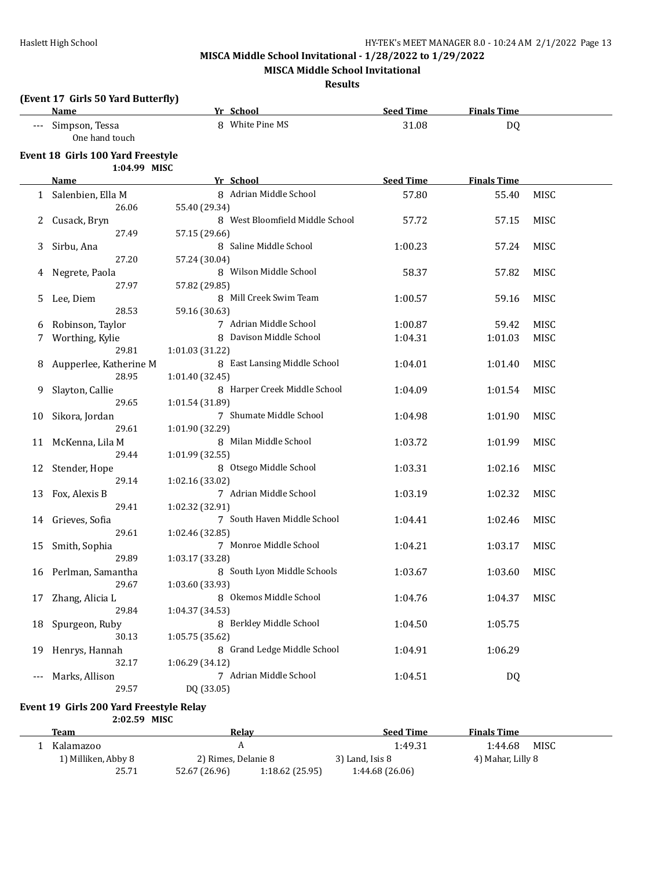**MISCA Middle School Invitational**

#### **Results**

# **(Event 17 Girls 50 Yard Butterfly)**

|    | <b>Name</b>                             |                 | Yr School                       | <b>Seed Time</b> | <b>Finals Time</b> |      |
|----|-----------------------------------------|-----------------|---------------------------------|------------------|--------------------|------|
|    | Simpson, Tessa<br>One hand touch        |                 | 8 White Pine MS                 | 31.08            | DQ                 |      |
|    | Event 18 Girls 100 Yard Freestyle       |                 |                                 |                  |                    |      |
|    | 1:04.99 MISC                            |                 |                                 |                  |                    |      |
|    | Name                                    |                 | Yr School                       | <b>Seed Time</b> | <b>Finals Time</b> |      |
| 1  | Salenbien, Ella M                       |                 | 8 Adrian Middle School          | 57.80            | 55.40              | MISC |
|    | 26.06                                   | 55.40 (29.34)   |                                 |                  |                    |      |
|    | Cusack, Bryn                            |                 | 8 West Bloomfield Middle School | 57.72            | 57.15              | MISC |
|    | 27.49                                   | 57.15 (29.66)   |                                 |                  |                    |      |
|    | Sirbu, Ana                              |                 | 8 Saline Middle School          | 1:00.23          | 57.24              | MISC |
|    | 27.20                                   | 57.24 (30.04)   |                                 |                  |                    |      |
|    | Negrete, Paola                          |                 | 8 Wilson Middle School          | 58.37            | 57.82              | MISC |
|    | 27.97                                   | 57.82 (29.85)   |                                 |                  |                    |      |
| 5. | Lee, Diem                               |                 | 8 Mill Creek Swim Team          | 1:00.57          | 59.16              | MISC |
|    | 28.53                                   | 59.16 (30.63)   |                                 |                  |                    |      |
| 6  | Robinson, Taylor                        |                 | 7 Adrian Middle School          | 1:00.87          | 59.42              | MISC |
|    | Worthing, Kylie                         |                 | 8 Davison Middle School         | 1:04.31          | 1:01.03            | MISC |
|    | 29.81                                   | 1:01.03 (31.22) |                                 |                  |                    |      |
|    | Aupperlee, Katherine M                  |                 | 8 East Lansing Middle School    | 1:04.01          | 1:01.40            | MISC |
|    | 28.95                                   | 1:01.40(32.45)  |                                 |                  |                    |      |
| 9  | Slayton, Callie                         |                 | 8 Harper Creek Middle School    | 1:04.09          | 1:01.54            | MISC |
|    | 29.65                                   | 1:01.54 (31.89) |                                 |                  |                    |      |
| 10 | Sikora, Jordan                          |                 | 7 Shumate Middle School         | 1:04.98          | 1:01.90            | MISC |
|    | 29.61                                   | 1:01.90 (32.29) |                                 |                  |                    |      |
| 11 | McKenna, Lila M                         |                 | 8 Milan Middle School           | 1:03.72          | 1:01.99            | MISC |
|    | 29.44                                   | 1:01.99 (32.55) |                                 |                  |                    |      |
| 12 | Stender, Hope                           |                 | 8 Otsego Middle School          | 1:03.31          | 1:02.16            | MISC |
|    | 29.14                                   | 1:02.16 (33.02) |                                 |                  |                    |      |
| 13 | Fox, Alexis B                           |                 | 7 Adrian Middle School          | 1:03.19          | 1:02.32            | MISC |
|    | 29.41                                   | 1:02.32 (32.91) |                                 |                  |                    |      |
| 14 | Grieves, Sofia                          |                 | 7 South Haven Middle School     | 1:04.41          | 1:02.46            | MISC |
|    | 29.61                                   | 1:02.46 (32.85) |                                 |                  |                    |      |
| 15 | Smith, Sophia                           |                 | 7 Monroe Middle School          | 1:04.21          | 1:03.17            | MISC |
|    | 29.89                                   | 1:03.17 (33.28) |                                 |                  |                    |      |
| 16 | Perlman, Samantha                       |                 | 8 South Lyon Middle Schools     | 1:03.67          | 1:03.60            | MISC |
|    | 29.67                                   | 1:03.60 (33.93) |                                 |                  |                    |      |
|    | 17 Zhang, Alicia L                      |                 | 8 Okemos Middle School          | 1:04.76          | 1:04.37 MISC       |      |
|    | 29.84                                   | 1:04.37 (34.53) |                                 |                  |                    |      |
| 18 | Spurgeon, Ruby                          |                 | 8 Berkley Middle School         | 1:04.50          | 1:05.75            |      |
|    | 30.13                                   | 1:05.75 (35.62) |                                 |                  |                    |      |
| 19 | Henrys, Hannah                          |                 | 8 Grand Ledge Middle School     | 1:04.91          | 1:06.29            |      |
|    | 32.17                                   | 1:06.29 (34.12) |                                 |                  |                    |      |
|    | Marks, Allison                          |                 | 7 Adrian Middle School          | 1:04.51          | <b>DQ</b>          |      |
|    | 29.57                                   | DQ (33.05)      |                                 |                  |                    |      |
|    |                                         |                 |                                 |                  |                    |      |
|    | Event 19 Girls 200 Yard Freestyle Relay |                 |                                 |                  |                    |      |
|    | 2:02.59 MISC                            |                 |                                 |                  |                    |      |
|    | <b>Team</b>                             |                 | <b>Relay</b>                    | <b>Seed Time</b> | <b>Finals Time</b> |      |
|    | 1 Kalamazoo                             |                 | $\boldsymbol{A}$                | 1:49.31          | 1:44.68            | MISC |
|    | 1) Milliken, Abby 8                     |                 | 2) Rimes, Delanie 8             | 3) Land, Isis 8  | 4) Mahar, Lilly 8  |      |

25.71 52.67 (26.96) 1:18.62 (25.95) 1:44.68 (26.06)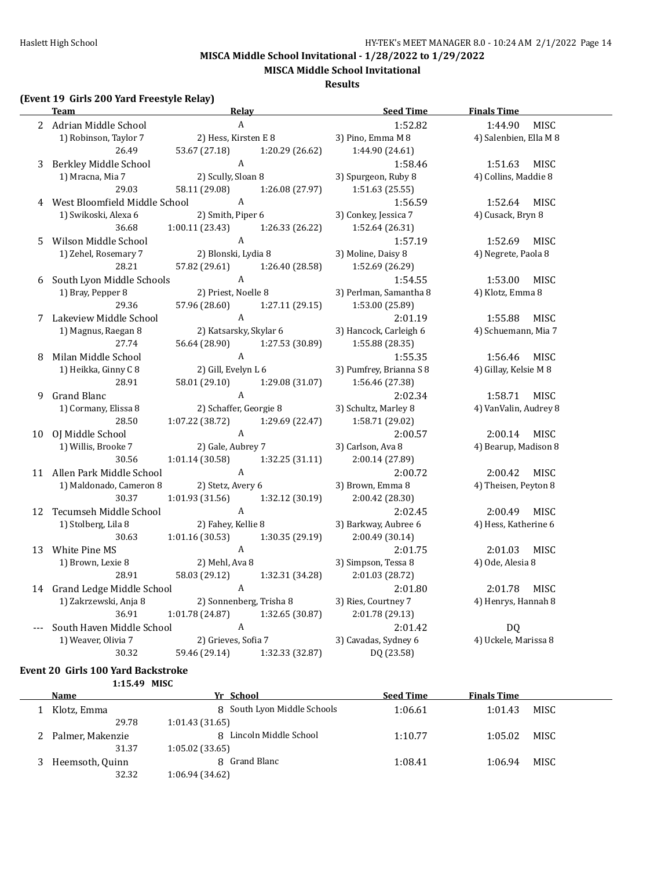**MISCA Middle School Invitational**

#### **Results**

# **(Event 19 Girls 200 Yard Freestyle Relay)**

|   | 2 Adrian Middle School          | A                             |                 | 1:52.82                                 | <b>MISC</b><br>1:44.90                   |  |
|---|---------------------------------|-------------------------------|-----------------|-----------------------------------------|------------------------------------------|--|
|   | 1) Robinson, Taylor 7           | 2) Hess, Kirsten E 8          |                 | 3) Pino, Emma M 8                       | 4) Salenbien, Ella M 8                   |  |
|   | 26.49                           | 53.67 (27.18)                 | 1:20.29 (26.62) | 1:44.90 (24.61)                         |                                          |  |
| 3 | Berkley Middle School           | A                             |                 | 1:58.46                                 | MISC<br>1:51.63                          |  |
|   | 1) Mracna, Mia 7                | 2) Scully, Sloan 8            |                 | 3) Spurgeon, Ruby 8                     | 4) Collins, Maddie 8                     |  |
|   | 29.03                           | 58.11 (29.08)                 | 1:26.08 (27.97) | 1:51.63 (25.55)                         |                                          |  |
|   | 4 West Bloomfield Middle School | A                             |                 | 1:56.59                                 | 1:52.64<br>MISC                          |  |
|   | 1) Swikoski, Alexa 6            | 2) Smith, Piper 6             |                 | 3) Conkey, Jessica 7                    | 4) Cusack, Bryn 8                        |  |
|   | 36.68                           | 1:00.11(23.43)                | 1:26.33 (26.22) | 1:52.64 (26.31)                         |                                          |  |
| 5 | Wilson Middle School            | $\boldsymbol{A}$              |                 | 1:57.19                                 | 1:52.69<br>MISC                          |  |
|   | 1) Zehel, Rosemary 7            | 2) Blonski, Lydia 8           |                 | 3) Moline, Daisy 8                      | 4) Negrete, Paola 8                      |  |
|   | 28.21                           | 57.82 (29.61)                 | 1:26.40 (28.58) | 1:52.69 (26.29)                         |                                          |  |
| 6 | South Lyon Middle Schools       | A                             |                 | 1:54.55                                 | MISC<br>1:53.00                          |  |
|   | 1) Bray, Pepper 8               | 2) Priest, Noelle 8           |                 | 3) Perlman, Samantha 8                  | 4) Klotz, Emma 8                         |  |
|   | 29.36                           | 57.96 (28.60)                 | 1:27.11 (29.15) | 1:53.00 (25.89)                         |                                          |  |
|   | 7 Lakeview Middle School        | A                             |                 | 2:01.19                                 | 1:55.88<br>MISC                          |  |
|   | 1) Magnus, Raegan 8             | 2) Katsarsky, Skylar 6        |                 | 3) Hancock, Carleigh 6                  | 4) Schuemann, Mia 7                      |  |
|   | 27.74                           | 56.64 (28.90)                 | 1:27.53 (30.89) | 1:55.88 (28.35)                         |                                          |  |
| 8 | Milan Middle School             | $\boldsymbol{\mathsf{A}}$     |                 | 1:55.35                                 | 1:56.46 MISC                             |  |
|   | 1) Heikka, Ginny C 8            | 2) Gill, Evelyn L 6           |                 | 3) Pumfrey, Brianna S 8                 | 4) Gillay, Kelsie M 8                    |  |
|   | 28.91                           | 58.01 (29.10)<br>$\mathbf{A}$ | 1:29.08 (31.07) | 1:56.46 (27.38)                         |                                          |  |
| 9 | <b>Grand Blanc</b>              | 2) Schaffer, Georgie 8        |                 | 2:02.34                                 | 1:58.71<br>MISC<br>4) VanValin, Audrey 8 |  |
|   | 1) Cormany, Elissa 8<br>28.50   | 1:07.22(38.72)                | 1:29.69 (22.47) | 3) Schultz, Marley 8<br>1:58.71 (29.02) |                                          |  |
|   | 10 OJ Middle School             | $\,$ A                        |                 | 2:00.57                                 | MISC<br>2:00.14                          |  |
|   | 1) Willis, Brooke 7             | 2) Gale, Aubrey 7             |                 | 3) Carlson, Ava 8                       | 4) Bearup, Madison 8                     |  |
|   | 30.56                           | 1:01.14(30.58)                | 1:32.25(31.11)  | 2:00.14 (27.89)                         |                                          |  |
|   | 11 Allen Park Middle School     | $\mathbf{A}$                  |                 | 2:00.72                                 | 2:00.42<br>MISC                          |  |
|   | 1) Maldonado, Cameron 8         | 2) Stetz, Avery 6             |                 | 3) Brown, Emma 8                        | 4) Theisen, Peyton 8                     |  |
|   | 30.37                           | 1:01.93 (31.56)               | 1:32.12 (30.19) | 2:00.42 (28.30)                         |                                          |  |
|   | 12 Tecumseh Middle School       | A                             |                 | 2:02.45                                 | 2:00.49<br><b>MISC</b>                   |  |
|   | 1) Stolberg, Lila 8             | 2) Fahey, Kellie 8            |                 | 3) Barkway, Aubree 6                    | 4) Hess, Katherine 6                     |  |
|   | 30.63                           | 1:01.16(30.53)                | 1:30.35 (29.19) | 2:00.49 (30.14)                         |                                          |  |
|   | 13 White Pine MS                | $\,$ A                        |                 | 2:01.75                                 | 2:01.03<br><b>MISC</b>                   |  |
|   | 1) Brown, Lexie 8               | 2) Mehl, Ava 8                |                 | 3) Simpson, Tessa 8                     | 4) Ode, Alesia 8                         |  |
|   | 28.91                           | 58.03 (29.12)                 | 1:32.31 (34.28) | 2:01.03 (28.72)                         |                                          |  |
|   | 14 Grand Ledge Middle School    | $\mathbf{A}$                  |                 | 2:01.80                                 | 2:01.78 MISC                             |  |
|   | 1) Zakrzewski, Anja 8           | 2) Sonnenberg, Trisha 8       |                 | 3) Ries, Courtney 7                     | 4) Henrys, Hannah 8                      |  |
|   | 36.91                           | 1:01.78(24.87)                | 1:32.65 (30.87) | 2:01.78 (29.13)                         |                                          |  |
|   | South Haven Middle School       | $\boldsymbol{\mathrm{A}}$     |                 | 2:01.42                                 | DQ                                       |  |
|   | 1) Weaver, Olivia 7             | 2) Grieves, Sofia 7           |                 | 3) Cavadas, Sydney 6                    | 4) Uckele, Marissa 8                     |  |
|   | 30.32                           | 59.46 (29.14)                 | 1:32.33 (32.87) | DQ (23.58)                              |                                          |  |

#### **Event 20 Girls 100 Yard Backstroke 1:15.49 MISC**

| Name             | Yr School                   | <b>Seed Time</b> | <b>Finals Time</b> |             |
|------------------|-----------------------------|------------------|--------------------|-------------|
|                  |                             |                  |                    |             |
| Klotz, Emma      | 8 South Lyon Middle Schools | 1:06.61          | 1:01.43            | <b>MISC</b> |
| 29.78            | 1:01.43(31.65)              |                  |                    |             |
| Palmer, Makenzie | 8 Lincoln Middle School     | 1:10.77          | 1:05.02            | MISC        |
| 31.37            | 1:05.02(33.65)              |                  |                    |             |
| Heemsoth, Quinn  | 8 Grand Blanc               | 1:08.41          | 1:06.94            | MISC.       |
| 32.32            | 1:06.94 (34.62)             |                  |                    |             |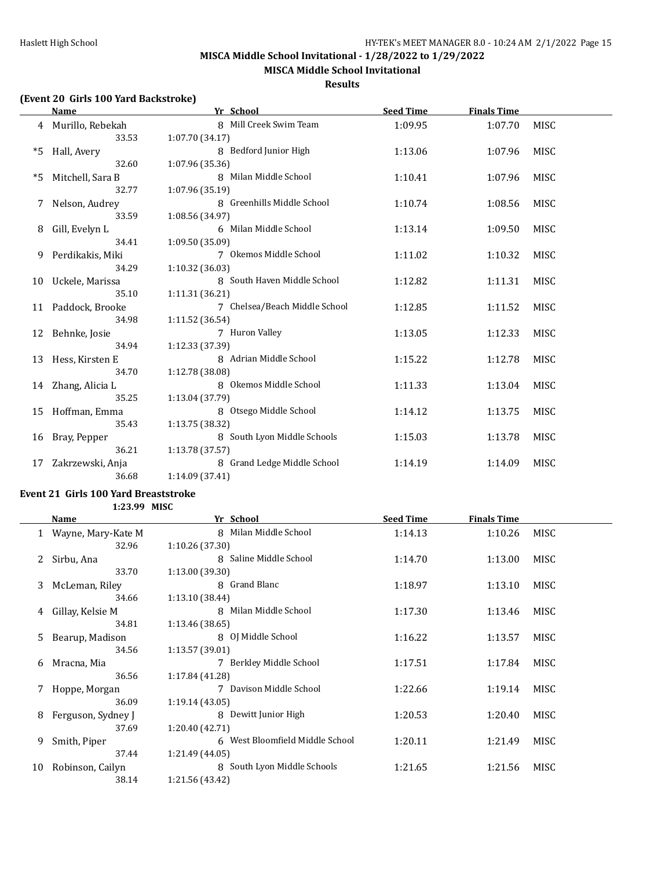**MISCA Middle School Invitational**

#### **Results**

# **(Event 20 Girls 100 Yard Backstroke)**

|    | <b>Name</b>        | Yr School                     | <b>Seed Time</b> | <b>Finals Time</b> |             |
|----|--------------------|-------------------------------|------------------|--------------------|-------------|
|    | 4 Murillo, Rebekah | 8 Mill Creek Swim Team        | 1:09.95          | 1:07.70            | <b>MISC</b> |
|    | 33.53              | 1:07.70 (34.17)               |                  |                    |             |
| *5 | Hall, Avery        | 8 Bedford Junior High         | 1:13.06          | 1:07.96            | MISC        |
|    | 32.60              | 1:07.96 (35.36)               |                  |                    |             |
| *5 | Mitchell, Sara B   | 8 Milan Middle School         | 1:10.41          | 1:07.96            | MISC        |
|    | 32.77              | 1:07.96 (35.19)               |                  |                    |             |
|    | Nelson, Audrey     | 8 Greenhills Middle School    | 1:10.74          | 1:08.56            | MISC        |
|    | 33.59              | 1:08.56 (34.97)               |                  |                    |             |
| 8  | Gill, Evelyn L     | 6 Milan Middle School         | 1:13.14          | 1:09.50            | MISC        |
|    | 34.41              | 1:09.50 (35.09)               |                  |                    |             |
| 9  | Perdikakis, Miki   | 7 Okemos Middle School        | 1:11.02          | 1:10.32            | MISC        |
|    | 34.29              | 1:10.32(36.03)                |                  |                    |             |
| 10 | Uckele, Marissa    | 8 South Haven Middle School   | 1:12.82          | 1:11.31            | MISC        |
|    | 35.10              | 1:11.31 (36.21)               |                  |                    |             |
| 11 | Paddock, Brooke    | 7 Chelsea/Beach Middle School | 1:12.85          | 1:11.52            | <b>MISC</b> |
|    | 34.98              | 1:11.52(36.54)                |                  |                    |             |
| 12 | Behnke, Josie      | 7 Huron Valley                | 1:13.05          | 1:12.33            | <b>MISC</b> |
|    | 34.94              | 1:12.33 (37.39)               |                  |                    |             |
| 13 | Hess, Kirsten E    | 8 Adrian Middle School        | 1:15.22          | 1:12.78            | MISC        |
|    | 34.70              | 1:12.78 (38.08)               |                  |                    |             |
|    | 14 Zhang, Alicia L | 8 Okemos Middle School        | 1:11.33          | 1:13.04            | <b>MISC</b> |
|    | 35.25              | 1:13.04 (37.79)               |                  |                    |             |
| 15 | Hoffman, Emma      | 8 Otsego Middle School        | 1:14.12          | 1:13.75            | MISC        |
|    | 35.43              | 1:13.75 (38.32)               |                  |                    |             |
| 16 | Bray, Pepper       | 8 South Lyon Middle Schools   | 1:15.03          | 1:13.78            | MISC        |
|    | 36.21              | 1:13.78(37.57)                |                  |                    |             |
| 17 | Zakrzewski, Anja   | 8 Grand Ledge Middle School   | 1:14.19          | 1:14.09            | MISC        |
|    | 36.68              | 1:14.09 (37.41)               |                  |                    |             |

#### **Event 21 Girls 100 Yard Breaststroke 1:23.99 MISC**

|    | Name                 | Yr School                       | <b>Seed Time</b> | <b>Finals Time</b> |             |
|----|----------------------|---------------------------------|------------------|--------------------|-------------|
|    | 1 Wayne, Mary-Kate M | 8 Milan Middle School           | 1:14.13          | 1:10.26            | MISC        |
|    | 32.96                | 1:10.26(37.30)                  |                  |                    |             |
| 2  | Sirbu, Ana           | 8 Saline Middle School          | 1:14.70          | 1:13.00            | <b>MISC</b> |
|    | 33.70                | 1:13.00(39.30)                  |                  |                    |             |
| 3. | McLeman, Riley       | 8 Grand Blanc                   | 1:18.97          | 1:13.10            | MISC        |
|    | 34.66                | 1:13.10 (38.44)                 |                  |                    |             |
| 4  | Gillay, Kelsie M     | 8 Milan Middle School           | 1:17.30          | 1:13.46            | MISC        |
|    | 34.81                | 1:13.46(38.65)                  |                  |                    |             |
| 5  | Bearup, Madison      | 8 OJ Middle School              | 1:16.22          | 1:13.57            | MISC        |
|    | 34.56                | 1:13.57 (39.01)                 |                  |                    |             |
| 6  | Mracna, Mia          | 7 Berkley Middle School         | 1:17.51          | 1:17.84            | <b>MISC</b> |
|    | 36.56                | 1:17.84 (41.28)                 |                  |                    |             |
|    | Hoppe, Morgan        | 7 Davison Middle School         | 1:22.66          | 1:19.14            | <b>MISC</b> |
|    | 36.09                | 1:19.14(43.05)                  |                  |                    |             |
| 8  | Ferguson, Sydney J   | 8 Dewitt Junior High            | 1:20.53          | 1:20.40            | <b>MISC</b> |
|    | 37.69                | 1:20.40 (42.71)                 |                  |                    |             |
| 9  | Smith, Piper         | 6 West Bloomfield Middle School | 1:20.11          | 1:21.49            | <b>MISC</b> |
|    | 37.44                | 1:21.49 (44.05)                 |                  |                    |             |
| 10 | Robinson, Cailyn     | 8 South Lyon Middle Schools     | 1:21.65          | 1:21.56            | MISC        |
|    | 38.14                | 1:21.56 (43.42)                 |                  |                    |             |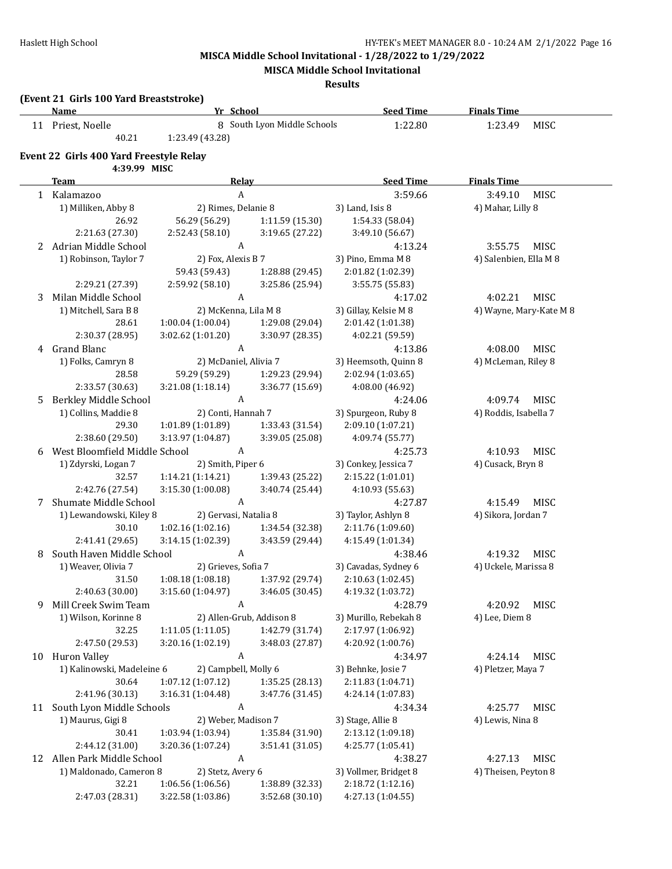**MISCA Middle School Invitational**

**Results**

#### **(Event 21 Girls 100 Yard Breaststroke)**

|   | <u>Name</u>                             | Yr School             |                             | <b>Seed Time</b>      | <b>Finals Time</b>      |
|---|-----------------------------------------|-----------------------|-----------------------------|-----------------------|-------------------------|
|   | 11 Priest, Noelle                       |                       | 8 South Lyon Middle Schools | 1:22.80               | 1:23.49<br>MISC         |
|   | 40.21                                   | 1:23.49 (43.28)       |                             |                       |                         |
|   | Event 22 Girls 400 Yard Freestyle Relay |                       |                             |                       |                         |
|   | 4:39.99 MISC                            |                       |                             |                       |                         |
|   | Team                                    | Relay                 |                             | <b>Seed Time</b>      | <b>Finals Time</b>      |
|   | 1 Kalamazoo                             | $\boldsymbol{A}$      |                             | 3:59.66               | 3:49.10<br>MISC         |
|   | 1) Milliken, Abby 8                     | 2) Rimes, Delanie 8   |                             | 3) Land, Isis 8       | 4) Mahar, Lilly 8       |
|   | 26.92                                   | 56.29 (56.29)         | 1:11.59 (15.30)             | 1:54.33 (58.04)       |                         |
|   | 2:21.63 (27.30)                         | 2:52.43 (58.10)       | 3:19.65 (27.22)             | 3:49.10 (56.67)       |                         |
| 2 | Adrian Middle School                    | $\boldsymbol{A}$      |                             | 4:13.24               | 3:55.75<br>MISC         |
|   | 1) Robinson, Taylor 7                   | 2) Fox, Alexis B 7    |                             | 3) Pino, Emma M 8     | 4) Salenbien, Ella M 8  |
|   |                                         | 59.43 (59.43)         | 1:28.88 (29.45)             | 2:01.82 (1:02.39)     |                         |
|   | 2:29.21 (27.39)                         | 2:59.92 (58.10)       | 3:25.86 (25.94)             | 3:55.75 (55.83)       |                         |
| 3 | Milan Middle School                     | $\boldsymbol{A}$      |                             | 4:17.02               | MISC<br>4:02.21         |
|   | 1) Mitchell, Sara B 8                   | 2) McKenna, Lila M 8  |                             | 3) Gillay, Kelsie M 8 | 4) Wayne, Mary-Kate M 8 |
|   | 28.61                                   | 1:00.04(1:00.04)      | 1:29.08 (29.04)             | 2:01.42 (1:01.38)     |                         |
|   | 2:30.37 (28.95)                         | 3:02.62 (1:01.20)     | 3:30.97 (28.35)             | 4:02.21 (59.59)       |                         |
| 4 | Grand Blanc                             | A                     |                             | 4:13.86               | 4:08.00<br>MISC         |
|   | 1) Folks, Camryn 8                      | 2) McDaniel, Alivia 7 |                             | 3) Heemsoth, Quinn 8  | 4) McLeman, Riley 8     |
|   | 28.58                                   | 59.29 (59.29)         | 1:29.23 (29.94)             | 2:02.94 (1:03.65)     |                         |
|   | 2:33.57 (30.63)                         | 3:21.08 (1:18.14)     | 3:36.77 (15.69)             | 4:08.00 (46.92)       |                         |
| 5 | Berkley Middle School                   | $\boldsymbol{A}$      |                             | 4:24.06               | 4:09.74<br>MISC         |
|   | 1) Collins, Maddie 8                    | 2) Conti, Hannah 7    |                             | 3) Spurgeon, Ruby 8   | 4) Roddis, Isabella 7   |
|   | 29.30                                   | 1:01.89 (1:01.89)     | 1:33.43 (31.54)             | 2:09.10 (1:07.21)     |                         |
|   | 2:38.60 (29.50)                         | 3:13.97 (1:04.87)     | 3:39.05 (25.08)             | 4:09.74 (55.77)       |                         |
| 6 | West Bloomfield Middle School           | A                     |                             | 4:25.73               | 4:10.93<br>MISC         |
|   | 1) Zdyrski, Logan 7                     | 2) Smith, Piper 6     |                             | 3) Conkey, Jessica 7  | 4) Cusack, Bryn 8       |
|   | 32.57                                   | 1:14.21 (1:14.21)     | 1:39.43 (25.22)             | 2:15.22 (1:01.01)     |                         |
|   | 2:42.76 (27.54)                         | 3:15.30(1:00.08)      | 3:40.74 (25.44)             | 4:10.93 (55.63)       |                         |
| 7 | Shumate Middle School                   | $\boldsymbol{A}$      |                             | 4:27.87               | 4:15.49<br>MISC         |
|   | 1) Lewandowski, Kiley 8                 | 2) Gervasi, Natalia 8 |                             | 3) Taylor, Ashlyn 8   | 4) Sikora, Jordan 7     |
|   | 30.10                                   | 1:02.16 (1:02.16)     | 1:34.54 (32.38)             | 2:11.76 (1:09.60)     |                         |
|   | 2:41.41 (29.65)                         | 3:14.15(1:02.39)      | 3:43.59 (29.44)             | 4:15.49 (1:01.34)     |                         |
| 8 | South Haven Middle School               | A                     |                             | 4:38.46               | 4:19.32<br>MISC         |
|   | 1) Weaver, Olivia 7                     | 2) Grieves, Sofia 7   |                             | 3) Cavadas, Sydney 6  | 4) Uckele, Marissa 8    |
|   | 31.50                                   | 1:08.18(1:08.18)      | 1:37.92 (29.74)             | 2:10.63(1:02.45)      |                         |
|   | 2:40.63 (30.00)                         | 3:15.60 (1:04.97)     | 3:46.05 (30.45)             | 4:19.32 (1:03.72)     |                         |
| 9 | Mill Creek Swim Team                    | A                     |                             | 4:28.79               | 4:20.92<br>MISC         |
|   | 1) Wilson, Korinne 8                    |                       | 2) Allen-Grub, Addison 8    | 3) Murillo, Rebekah 8 | 4) Lee, Diem 8          |
|   | 32.25                                   | 1:11.05 (1:11.05)     | 1:42.79 (31.74)             | 2:17.97 (1:06.92)     |                         |
|   | 2:47.50 (29.53)                         | 3:20.16 (1:02.19)     | 3:48.03 (27.87)             | 4:20.92 (1:00.76)     |                         |
|   | 10 Huron Valley                         | A                     |                             | 4:34.97               | 4:24.14<br>MISC         |
|   | 1) Kalinowski, Madeleine 6              | 2) Campbell, Molly 6  |                             | 3) Behnke, Josie 7    | 4) Pletzer, Maya 7      |
|   | 30.64                                   | 1:07.12 (1:07.12)     | 1:35.25 (28.13)             | 2:11.83 (1:04.71)     |                         |
|   | 2:41.96 (30.13)                         | 3:16.31(1:04.48)      | 3:47.76 (31.45)             | 4:24.14 (1:07.83)     |                         |
|   | 11 South Lyon Middle Schools            | A                     |                             | 4:34.34               | MISC<br>4:25.77         |
|   | 1) Maurus, Gigi 8                       | 2) Weber, Madison 7   |                             | 3) Stage, Allie 8     | 4) Lewis, Nina 8        |
|   | 30.41                                   | 1:03.94 (1:03.94)     | 1:35.84 (31.90)             | 2:13.12 (1:09.18)     |                         |
|   | 2:44.12 (31.00)                         | 3:20.36 (1:07.24)     | 3:51.41 (31.05)             | 4:25.77 (1:05.41)     |                         |
|   | 12 Allen Park Middle School             | A                     |                             | 4:38.27               | MISC<br>4:27.13         |
|   | 1) Maldonado, Cameron 8                 | 2) Stetz, Avery 6     |                             | 3) Vollmer, Bridget 8 | 4) Theisen, Peyton 8    |
|   | 32.21                                   | 1:06.56 (1:06.56)     | 1:38.89 (32.33)             | 2:18.72 (1:12.16)     |                         |
|   | 2:47.03 (28.31)                         | 3:22.58 (1:03.86)     | 3:52.68 (30.10)             | 4:27.13 (1:04.55)     |                         |
|   |                                         |                       |                             |                       |                         |